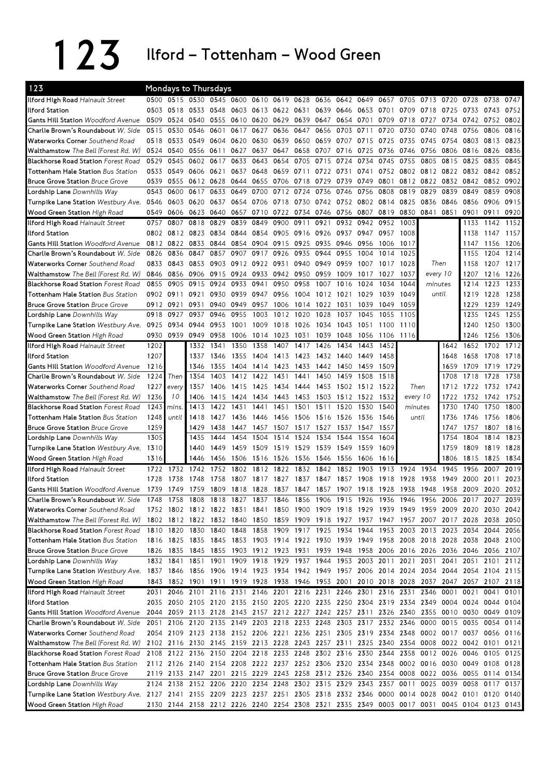123 Ilford – Tottenham – Wood Green

| 123                                                                                                                           |      | Mondays to Thursdays                                   |      |                |                   |           |                |           |      |           |                               |      |                                         |           |                                                                                 |           |                                                                                           |      |
|-------------------------------------------------------------------------------------------------------------------------------|------|--------------------------------------------------------|------|----------------|-------------------|-----------|----------------|-----------|------|-----------|-------------------------------|------|-----------------------------------------|-----------|---------------------------------------------------------------------------------|-----------|-------------------------------------------------------------------------------------------|------|
| Ilford High Road Hainault Street                                                                                              |      | 0500 0515 0530 0545 0600                               |      |                |                   | 0610 0619 |                | 0628      | 0636 | 0642      | 0649                          | 0657 | 0705                                    | 0713      | 0720                                                                            | 0728      | 0738                                                                                      | 0747 |
| Ilford Station                                                                                                                | 0503 | 0518                                                   | 0533 | 0548           | 0603              | 0613      | 0622 0631      |           | 0639 | 0646      | 0653                          | 0701 | 0709                                    | 0718      | 0725                                                                            | 0733      | 0743                                                                                      | 0752 |
| <b>Gants Hill Station Woodford Avenue</b>                                                                                     | 0509 | 0524 0540                                              |      | 0555           |                   | 0610 0620 | 0629           | 0639      | 0647 | 0654 0701 |                               | 0709 | 0718                                    | 0727      | 0734                                                                            | 0742      | 0752                                                                                      | 0802 |
| Charlie Brown's Roundabout W. Side                                                                                            | 0515 | 0530                                                   | 0546 | 0601           | 0617              | 0627      | 0636           | 0647      | 0656 | 0703      | 0711                          | 0720 | 0730                                    | 0740      | 0748                                                                            | 0756      | 0806                                                                                      | 0816 |
| Waterworks Corner Southend Road                                                                                               | 0518 | 0533                                                   | 0549 | 0604           | 0620              | 0630      | 0639           | 0650      | 0659 | 0707      | 0715                          | 0725 | 0735                                    | 0745      | 0754                                                                            | 0803      | 0813                                                                                      | 0823 |
| Walthamstow The Bell (Forest Rd. W)                                                                                           | 0524 | 0540                                                   | 0556 | 0611           | 0627              | 0637      | 0647           | 0658      | 0707 | 0716      | 0725                          | 0736 | 0746                                    | 0756      | 0806                                                                            | 0816      | 0826                                                                                      | 0836 |
| <b>Blackhorse Road Station Forest Road</b>                                                                                    | 0529 | 0545                                                   | 0602 | 0617           | 0633              | 0643      | 0654           | 0705      | 0715 | 0724      | 0734                          | 0745 | 0755                                    | 0805      | 0815                                                                            | 0825      | 0835                                                                                      | 0845 |
| <b>Tottenham Hale Station Bus Station</b>                                                                                     | 0533 | 0549                                                   | 0606 | 0621           | 0637              | 0648      | 0659           | 0711      | 0722 | 0731      | 0741                          | 0752 |                                         |           | 0802 0812 0822                                                                  | 0832 0842 |                                                                                           | 0852 |
| <b>Bruce Grove Station Bruce Grove</b>                                                                                        | 0539 | 0555                                                   | 0612 | 0628           | 0644              | 0655      | 0706           | 0718      | 0729 | 0739      | 0749                          | 0801 |                                         | 0812 0822 | 0832                                                                            | 0842      | 0852                                                                                      | 0902 |
| Lordship Lane Downhills Way                                                                                                   | 0543 | 0600                                                   | 0617 | 0633           | 0649              | 0700      | 0712           | 0724      | 0736 | 0746      | 0756                          | 0808 | 0819                                    | 0829      | 0839                                                                            | 0849      | 0859                                                                                      | 0908 |
| Turnpike Lane Station Westbury Ave.                                                                                           | 0546 | 0603 0620                                              |      | 0637           |                   | 0654 0706 | 0718           | 0730 0742 |      |           | 0752 0802 0814                |      | 0825                                    | 0836      | 0846                                                                            | 0856      | 0906                                                                                      | 0915 |
| Wood Green Station High Road                                                                                                  | 0549 | 0606                                                   | 0623 | 0640           | 0657              | 0710      | 0722           | 0734 0746 |      | 0756      | 0807                          | 0819 |                                         | 0830 0841 | 0851                                                                            | 0901      | 0911                                                                                      | 0920 |
| Ilford High Road Hainault Street                                                                                              | 0757 | 0807                                                   | 0818 | 0829           | 0839              | 0849      | 0900           | 0911      | 0921 | 0932      | 0942                          | 0952 | 1003                                    |           |                                                                                 | 1133      | 1142                                                                                      | 1152 |
| <b>Ilford Station</b>                                                                                                         |      | 0802 0812 0823                                         |      | 0834           | 0844              | 0854      | 0905           | 0916 0926 |      | 0937      | 0947                          | 0957 | 1008                                    |           |                                                                                 | 1138      | 1147                                                                                      | 1157 |
| <b>Gants Hill Station Woodford Avenue</b>                                                                                     |      | 0812 0822                                              | 0833 | 0844           |                   | 0854 0904 | 0915           | 0925 0935 |      | 0946      | 0956                          | 1006 | 1017                                    |           |                                                                                 | 1147      | 1156                                                                                      | 1206 |
| Charlie Brown's Roundabout W. Side                                                                                            | 0826 | 0836                                                   | 0847 | 0857           | 0907              | 0917      | 0926           | 0935      | 0944 | 0955      | 1004                          | 1014 | 1025                                    |           |                                                                                 | 1155      | 1204                                                                                      | 1214 |
| Waterworks Corner Southend Road                                                                                               | 0833 | 0843                                                   | 0853 | 0903           |                   | 0912 0922 | 0931           | 0940 0949 |      | 0959      | 1007                          | 1017 | 1028                                    |           | Then                                                                            | 1158      | 1207                                                                                      | 1217 |
| Walthamstow The Bell (Forest Rd. W)                                                                                           | 0846 | 0856                                                   | 0906 | 0915           |                   | 0924 0933 | 0942 0950 0959 |           |      | 1009      | 1017                          | 1027 | 1037                                    |           | every 10                                                                        | 1207      | 1216 1226                                                                                 |      |
| <b>Blackhorse Road Station Forest Road</b>                                                                                    | 0855 | 0905                                                   | 0915 | 0924           | 0933              | 0941      | 0950           | 0958      | 1007 | 1016      | 1024                          | 1034 | 1044                                    |           | minutes                                                                         | 1214      | 1223                                                                                      | 1233 |
| <b>Tottenham Hale Station Bus Station</b>                                                                                     | 0902 | 0911                                                   | 0921 | 0930           | 0939              | 0947      | 0956           | 1004      | 1012 | 1021      | 1029                          | 1039 | 1049                                    |           | until                                                                           | 1219      | 1228                                                                                      | 1238 |
| <b>Bruce Grove Station Bruce Grove</b>                                                                                        |      | 0912 0921                                              | 0931 | 0940           | 0949              | 0957      | 1006           | 1014      | 1022 | 1031      | 1039                          | 1049 | 1059                                    |           |                                                                                 | 1229      | 1239                                                                                      | 1249 |
| Lordship Lane Downhills Way                                                                                                   | 0918 | 0927                                                   | 0937 | 0946           | 0955              | 1003      | 1012           | 1020      | 1028 | 1037      | 1045                          | 1055 | 1105                                    |           |                                                                                 | 1235      | 1245                                                                                      | 1255 |
| Turnpike Lane Station Westbury Ave.                                                                                           | 0925 | 0934                                                   | 0944 | 0953           | 1001              | 1009      | 1018           | 1026      | 1034 | 1043      | 1051                          | 1100 | 1110                                    |           |                                                                                 | 1240      | 1250                                                                                      | 1300 |
| Wood Green Station High Road                                                                                                  | 0930 | 0939                                                   | 0949 | 0958           | 1006              | 1014      | 1023           | 1031      | 1039 | 1048      | 1056                          | 1106 | 1116                                    |           |                                                                                 | 1246      | 1256                                                                                      | 1306 |
| Ilford High Road Hainault Street                                                                                              | 1202 |                                                        | 1332 | 1341           | 1350              | 1358      | 1407           | 1417      | 1426 | 1434      | 1443                          | 1452 |                                         |           | 1642                                                                            | 1652 1702 |                                                                                           | 1712 |
| <b>Ilford Station</b>                                                                                                         | 1207 |                                                        | 1337 | 1346           | 1355              | 1404      | 1413           | 1423 1432 |      | 1440      | 1449                          | 1458 |                                         |           | 1648                                                                            | 1658      | 1708                                                                                      | 1718 |
| <b>Gants Hill Station Woodford Avenue</b>                                                                                     | 1216 |                                                        | 1346 | 1355           | 1404              | 1414      | 1423           | 1433      | 1442 | 1450      | 1459                          | 1509 |                                         |           | 1659                                                                            | 1709      | 1719                                                                                      | 1729 |
| Charlie Brown's Roundabout W. Side                                                                                            | 1224 | Then                                                   | 1354 | 1403           | 1412              | 1422      | 1431           | 1441      | 1450 | 1459      | 1508                          | 1518 |                                         |           | 1708                                                                            | 1718      | 1728                                                                                      | 1738 |
| <b>Waterworks Corner</b> Southend Road                                                                                        | 1227 | every                                                  | 1357 | 1406           | 1415              | 1425      | 1434           | 1444      | 1453 | 1502      | 1512                          | 1522 | Then                                    |           | 1712                                                                            | 1722      | 1732                                                                                      | 1742 |
| Walthamstow The Bell (Forest Rd. W)                                                                                           | 1236 | 10                                                     | 1406 | 1415           | 1424              | 1434      | 1443           | 1453      | 1503 | 1512      | 1522                          | 1532 |                                         | every 10  | 1722                                                                            | 1732      | 1742                                                                                      | 1752 |
| Blackhorse Road Station Forest Road                                                                                           | 1243 | mins.                                                  | 1413 | 1422           | 1431              | 1441      | 1451           | 1501      | 1511 | 1520      | 1530                          | 1540 | minutes                                 |           | 1730                                                                            | 1740      | 1750                                                                                      | 1800 |
| <b>Tottenham Hale Station Bus Station</b>                                                                                     | 1248 | until                                                  | 1418 | 1427           | 1436              | 1446      | 1456           | 1506 1516 |      | 1526 1536 |                               | 1546 | until                                   |           | 1736                                                                            | 1746      | 1756                                                                                      | 1806 |
| <b>Bruce Grove Station Bruce Grove</b>                                                                                        | 1259 |                                                        | 1429 | 1438           | 1447              | 1457      | 1507           | 1517      | 1527 |           | 1537 1547                     | 1557 |                                         |           | 1747                                                                            | 1757      | 1807                                                                                      | 1816 |
| Lordship Lane Downhills Way                                                                                                   | 1305 |                                                        | 1435 | 1444           | 1454              | 1504      | 1514           | 1524      | 1534 | 1544      | 1554                          | 1604 |                                         |           | 1754                                                                            | 1804      | 1814                                                                                      | 1823 |
| Turnpike Lane Station Westbury Ave.                                                                                           | 1310 |                                                        | 1440 | 1449           | 1459              | 1509      | 1519           | 1529      | 1539 | 1549      | 1559                          | 1609 |                                         |           | 1759                                                                            | 1809      | 1819                                                                                      | 1828 |
|                                                                                                                               | 1316 |                                                        | 1446 | 1456           | 1506              | 1516      | 1526           | 1536      | 1546 | 1556      | 1606                          | 1616 |                                         |           | 1806                                                                            | 1815      | 1825                                                                                      | 1834 |
| Wood Green Station High Road<br>Ilford High Road Hainault Street                                                              | 1722 | 1732                                                   | 1742 | 1752           | 1802              | 1812      | 1822           | 1832      | 1842 | 1852      | 1903                          | 1913 | 1924                                    | 1934      | 1945                                                                            | 1956      | 2007                                                                                      | 2019 |
| <b>Ilford Station</b>                                                                                                         | 1728 | 1738                                                   | 1748 | 1758           |                   | 1817      |                |           | 1847 | 1857      | 1908                          |      | 1928                                    | 1938      | 1949                                                                            | 2000      | 2011                                                                                      | 2023 |
| <b>Gants Hill Station Woodford Avenue</b>                                                                                     |      | 1739 1749 1759 1809                                    |      |                | 1807<br>1818 1828 |           | 1827           | 1837      |      |           |                               | 1918 | 1837 1847 1857 1907 1918 1928 1938 1948 |           |                                                                                 |           | 1958 2009 2020 2032                                                                       |      |
|                                                                                                                               |      |                                                        |      |                |                   |           |                |           |      |           |                               |      |                                         |           |                                                                                 |           |                                                                                           |      |
| Charlie Brown's Roundabout <i>W. Side</i>                                                                                     | 1748 | 1758                                                   |      | 1808 1818 1827 |                   |           | 1837 1846      | 1856 1906 |      | 1915 1926 |                               | 1936 | 1946                                    | 1956 2006 |                                                                                 | 2017 2027 |                                                                                           | 2039 |
| Waterworks Corner Southend Road                                                                                               |      |                                                        |      |                |                   |           |                |           |      |           |                               |      |                                         |           |                                                                                 |           | 1752 1802 1812 1822 1831 1841 1850 1900 1909 1918 1929 1939 1949 1959 2009 2020 2030 2042 |      |
| Walthamstow The Bell (Forest Rd. W)<br><b>Blackhorse Road Station Forest Road</b>                                             |      |                                                        |      |                | 1848              |           |                |           |      |           | 1858 1909 1917 1925 1934 1944 |      |                                         |           | 1953 2003 2013 2023 2034 2044                                                   |           | 1802 1812 1822 1832 1840 1850 1859 1909 1918 1927 1937 1947 1957 2007 2017 2028 2038 2050 | 2056 |
|                                                                                                                               |      | 1810 1820                                              | 1830 | 1840           |                   |           |                |           |      |           |                               |      |                                         |           |                                                                                 |           |                                                                                           |      |
| Tottenham Hale Station Bus Station                                                                                            |      |                                                        |      |                |                   |           |                |           |      |           |                               |      |                                         |           |                                                                                 |           | 1816 1825 1835 1845 1853 1903 1914 1922 1930 1939 1949 1958 2008 2018 2028 2038 2048 2100 |      |
| <b>Bruce Grove Station Bruce Grove</b>                                                                                        |      |                                                        |      |                |                   |           |                |           |      |           |                               |      |                                         |           |                                                                                 |           | 1826 1835 1845 1855 1903 1912 1923 1931 1939 1948 1958 2006 2016 2026 2036 2046 2056 2107 |      |
| Lordship Lane Downhills Way                                                                                                   |      | 1832 1841                                              |      |                |                   |           |                |           |      |           |                               |      |                                         |           |                                                                                 |           | 1851 1901 1909 1918 1929 1937 1944 1953 2003 2011 2021 2031 2041 2051 2101 2112           |      |
| Turnpike Lane Station Westbury Ave.                                                                                           |      |                                                        |      |                |                   |           |                |           |      |           |                               |      |                                         |           |                                                                                 |           | 1837 1846 1856 1906 1914 1923 1934 1942 1949 1957 2006 2014 2024 2034 2044 2054 2104 2115 |      |
| Wood Green Station High Road                                                                                                  |      |                                                        |      |                |                   |           |                |           |      |           |                               |      |                                         |           |                                                                                 |           | 1843 1852 1901 1911 1919 1928 1938 1946 1953 2001 2010 2018 2028 2037 2047 2057 2107 2118 |      |
| Ilford High Road Hainault Street                                                                                              |      |                                                        |      |                |                   |           |                |           |      |           |                               |      |                                         |           | 2031 2046 2101 2116 2131 2146 2201 2216 2231 2246 2301 2316 2331 2346 0001      | 0021 0041 |                                                                                           | 0101 |
| Ilford Station                                                                                                                |      |                                                        |      |                |                   |           |                |           |      |           |                               |      |                                         |           |                                                                                 |           | 2035 2050 2105 2120 2135 2150 2205 2220 2235 2250 2304 2319 2334 2349 0004 0024 0044 0104 |      |
| Gants Hill Station Woodford Avenue                                                                                            |      | 2044 2059 2113 2128 2143 2157 2212 2227 2242 2257 2311 |      |                |                   |           |                |           |      |           |                               |      |                                         |           |                                                                                 |           | 2326 2340 2355 0010 0030 0049 0109                                                        |      |
| Charlie Brown's Roundabout W. Side                                                                                            |      |                                                        |      |                |                   |           |                |           |      |           |                               |      |                                         |           | 2051 2106 2120 2135 2149 2203 2218 2233 2248 2303 2317 2332 2346 0000 0015 0035 |           | 0054 0114                                                                                 |      |
| Waterworks Corner Southend Road                                                                                               |      |                                                        |      |                |                   |           |                |           |      |           |                               |      |                                         |           |                                                                                 |           | 2054 2109 2123 2138 2152 2206 2221 2236 2251 2305 2319 2334 2348 0002 0017 0037 0056 0116 |      |
| Walthamstow The Bell (Forest Rd. W)                                                                                           |      |                                                        |      |                |                   |           |                |           |      |           |                               |      |                                         |           |                                                                                 |           | 2102 2116 2130 2145 2159 2213 2228 2243 2257 2311 2325 2340 2354 0008 0022 0042 0101 0121 |      |
| <b>Blackhorse Road Station Forest Road</b>                                                                                    |      |                                                        |      |                |                   |           |                |           |      |           |                               |      |                                         |           |                                                                                 |           | 2108 2122 2136 2150 2204 2218 2233 2248 2302 2316 2330 2344 2358 0012 0026 0046 0105 0125 |      |
| <b>Tottenham Hale Station Bus Station</b>                                                                                     |      |                                                        |      |                |                   |           |                |           |      |           |                               |      |                                         |           |                                                                                 |           | 2112 2126 2140 2154 2208 2222 2237 2252 2306 2320 2334 2348 0002 0016 0030 0049 0108 0128 |      |
| <b>Bruce Grove Station Bruce Grove</b>                                                                                        |      |                                                        |      |                |                   |           |                |           |      |           |                               |      |                                         |           |                                                                                 |           | 2119 2133 2147 2201 2215 2229 2243 2258 2312 2326 2340 2354 0008 0022 0036 0055 0114 0134 |      |
| Lordship Lane Downhills Way                                                                                                   |      |                                                        |      |                |                   |           |                |           |      |           |                               |      |                                         |           |                                                                                 |           | 2124 2138 2152 2206 2220 2234 2248 2302 2315 2329 2343 2357 0011 0025 0039 0058 0117 0137 |      |
| Turnpike Lane Station Westbury Ave. 2127 2141 2155 2209 2223 2237 2251 2305 2318 2332 2346 0000 0014 0028 0042 0101 0120 0140 |      |                                                        |      |                |                   |           |                |           |      |           |                               |      |                                         |           |                                                                                 |           |                                                                                           |      |
| Wood Green Station High Road                                                                                                  |      |                                                        |      |                |                   |           |                |           |      |           |                               |      |                                         |           |                                                                                 |           | 2130 2144 2158 2212 2226 2240 2254 2308 2321 2335 2349 0003 0017 0031 0045 0104 0123 0143 |      |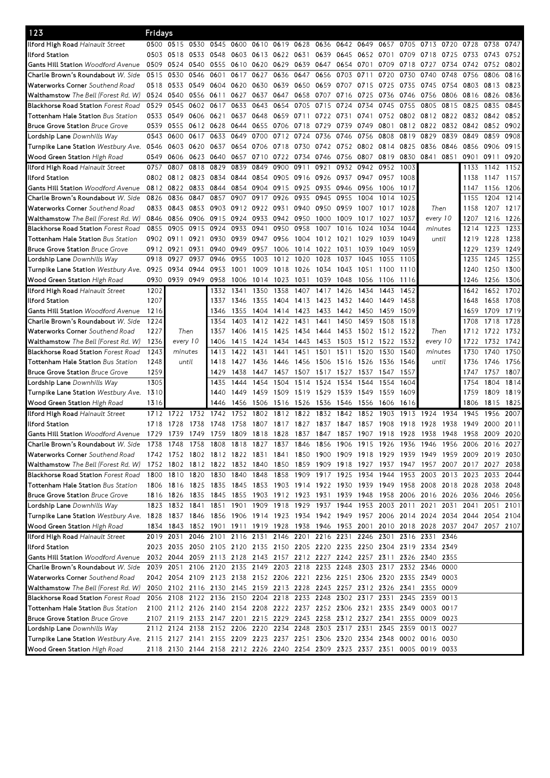| 123                                                                                                                           | Fridays   |                               |           |           |           |                |                                                                       |                |           |                |           |      |      |                                                                                           |      |                |           |           |
|-------------------------------------------------------------------------------------------------------------------------------|-----------|-------------------------------|-----------|-----------|-----------|----------------|-----------------------------------------------------------------------|----------------|-----------|----------------|-----------|------|------|-------------------------------------------------------------------------------------------|------|----------------|-----------|-----------|
| Ilford High Road Hainault Street                                                                                              |           | 0500 0515                     | 0530      | 0545      | 0600      | 0610           |                                                                       | 0619 0628 0636 |           | 0642 0649      |           | 0657 | 0705 | 0713 0720                                                                                 |      | 0728           | 0738      | 0747      |
| llford Station                                                                                                                | 0503      | 0518                          | 0533      | 0548      |           |                | 0603 0613 0622 0631 0639                                              |                |           | 0645           | 0652 0701 |      | 0709 | 0718                                                                                      | 0725 | 0733           | 0743      | 0752      |
| <b>Gants Hill Station Woodford Avenue</b>                                                                                     | 0509      | 0524                          | 0540      | 0555      |           | 0610 0620      | 0629                                                                  | 0639           | 0647      | 0654 0701      |           | 0709 | 0718 | 0727                                                                                      | 0734 | 0742           | 0752      | 0802      |
| Charlie Brown's Roundabout W. Side                                                                                            | 0515      | 0530                          | 0546      | 0601      | 0617      | 0627           | 0636                                                                  | 0647           | 0656      | 0703           | 0711      | 0720 | 0730 | 0740                                                                                      | 0748 | 0756           | 0806      | 0816      |
| Waterworks Corner Southend Road                                                                                               | 0518      | 0533                          | 0549      | 0604      | 0620      | 0630           | 0639                                                                  |                | 0650 0659 | 0707 0715      |           | 0725 | 0735 | 0745                                                                                      | 0754 | 0803           | 0813      | 0823      |
| <b>Walthamstow</b> The Bell (Forest Rd. W)                                                                                    | 0524      | 0540                          | 0556 0611 |           | 0627      | 0637           | 0647                                                                  | 0658           | 0707      | 0716           | 0725      | 0736 | 0746 | 0756                                                                                      | 0806 | 0816           | 0826      | 0836      |
| <b>Blackhorse Road Station Forest Road</b>                                                                                    | 0529      | 0545                          |           | 0602 0617 | 0633      | 0643           | 0654                                                                  | 0705           | 0715      | 0724           | 0734      | 0745 | 0755 | 0805                                                                                      | 0815 | 0825           | 0835      | 0845      |
| <b>Tottenham Hale Station</b> Bus Station                                                                                     | 0533      | 0549                          | 0606      | 0621      | 0637      | 0648           | 0659                                                                  | 0711           | 0722      | 0731           | 0741      | 0752 |      | 0802 0812 0822                                                                            |      | 0832 0842      |           | 0852      |
| <b>Bruce Grove Station Bruce Grove</b>                                                                                        | 0539      | 0555                          |           | 0612 0628 | 0644      | 0655           | 0706                                                                  | 0718           | 0729      | 0739           | 0749      | 0801 | 0812 | 0822                                                                                      | 0832 | 0842           | 0852      | 0902      |
|                                                                                                                               | 0543      | 0600                          | 0617      | 0633      | 0649      | 0700           | 0712                                                                  | 0724           | 0736      | 0746           | 0756      | 0808 | 0819 | 0829                                                                                      | 0839 | 0849           | 0859      | 0908      |
| Lordship Lane Downhills Way                                                                                                   |           |                               |           |           |           | 0654 0706      |                                                                       |                |           |                |           |      |      |                                                                                           |      |                |           | 0915      |
| Turnpike Lane Station Westbury Ave.                                                                                           | 0546      | 0603                          | 0620      | 0637      |           |                | 0718                                                                  | 0730 0742      |           | 0752 0802 0814 |           |      | 0825 | 0836                                                                                      | 0846 | 0856           | 0906      |           |
| Wood Green Station High Road                                                                                                  | 0549      | 0606                          | 0623      | 0640      |           | 0657 0710 0722 |                                                                       | 0734 0746      |           | 0756 0807      |           | 0819 | 0830 | 0841                                                                                      | 0851 | 0901           | 0911      | 0920      |
| Ilford High Road Hainault Street                                                                                              | 0757      | 0807                          | 0818      | 0829      | 0839      | 0849           | 0900                                                                  | 0911           | 0921      | 0932           | 0942      | 0952 | 1003 |                                                                                           |      | 1133           | 1142      | 1152      |
| llford Station                                                                                                                | 0802      | 0812 0823                     |           | 0834      |           | 0844 0854      | 0905                                                                  | 0916 0926      |           | 0937           | 0947      | 0957 | 1008 |                                                                                           |      | 1138           | 1147      | 1157      |
| <b>Gants Hill Station Woodford Avenue</b>                                                                                     | 0812      | 0822                          | 0833      | 0844      | 0854      | 0904           | 0915                                                                  | 0925           | 0935      | 0946           | 0956      | 1006 | 1017 |                                                                                           |      | 1147           | 1156      | 1206      |
| Charlie Brown's Roundabout <i>W. Side</i>                                                                                     | 0826      | 0836                          | 0847      | 0857      | 0907      | 0917           | 0926                                                                  | 0935           | 0945      | 0955           | 1004      | 1014 | 1025 |                                                                                           |      | 1155           | 1204      | 1214      |
| Waterworks Corner Southend Road                                                                                               | 0833      | 0843                          | 0853      | 0903      | 0912 0922 |                | 0931                                                                  |                | 0940 0950 | 0959           | 1007      | 1017 | 1028 | Then                                                                                      |      | 1158           | 1207      | 1217      |
| <b>Walthamstow</b> The Bell (Forest Rd. W)                                                                                    | 0846      | 0856                          | 0906      | 0915      | 0924      | 0933           | 0942                                                                  | 0950           | 1000      | 1009           | 1017      | 1027 | 1037 | every 10                                                                                  |      | 1207           | 1216      | 1226      |
| <b>Blackhorse Road Station</b> Forest Road                                                                                    | 0855      | 0905                          | 0915      | 0924      | 0933      | 0941           | 0950                                                                  | 0958           | 1007      | 1016           | 1024      | 1034 | 1044 | minutes                                                                                   |      | 1214           | 1223      | 1233      |
| <b>Tottenham Hale Station</b> Bus Station                                                                                     | 0902      | 0911                          | 0921      | 0930      | 0939      | 0947           | 0956                                                                  | 1004           | 1012      | 1021           | 1029      | 1039 | 1049 | until                                                                                     |      | 1219           | 1228      | 1238      |
| <b>Bruce Grove Station Bruce Grove</b>                                                                                        | 0912 0921 |                               | 0931      | 0940      | 0949      | 0957           | 1006                                                                  | 1014           | 1022      | 1031           | 1039      | 1049 | 1059 |                                                                                           |      | 1229           | 1239      | 1249      |
| <b>Lordship Lane</b> Downhills Way                                                                                            | 0918      | 0927                          | 0937      | 0946      | 0955      | 1003           | 1012                                                                  | 1020           | 1028      | 1037           | 1045      | 1055 | 1105 |                                                                                           |      | 1235           | 1245      | 1255      |
| Turnpike Lane Station Westbury Ave.                                                                                           | 0925      | 0934                          | 0944      | 0953      | 1001      | 1009           | 1018                                                                  | 1026           | 1034      | 1043           | 1051      | 1100 | 1110 |                                                                                           |      | 1240           | 1250      | 1300      |
| Wood Green Station High Road                                                                                                  | 0930      | 0939 0949                     |           | 0958      | 1006      | 1014 1023      |                                                                       | 1031           | 1039      | 1048           | 1056      | 1106 | 1116 |                                                                                           |      | 1246           | 1256 1306 |           |
| Ilford High Road Hainault Street                                                                                              | 1202      |                               |           | 1332      | 1341      | 1350           | 1358                                                                  | 1407           | 1417      | 1426           | 1434      | 1443 | 1452 |                                                                                           |      | 1642           | 1652 1702 |           |
| llford Station                                                                                                                | 1207      |                               |           | 1337      | 1346      | 1355           | 1404                                                                  | 1413 1423      |           |                | 1432 1440 | 1449 | 1458 |                                                                                           |      | 1648           | 1658      | 1708      |
| <b>Gants Hill Station Woodford Avenue</b>                                                                                     | 1216      |                               |           | 1346      | 1355      | 1404           | 1414                                                                  | 1423           | 1433      | 1442           | 1450      | 1459 | 1509 |                                                                                           |      | 1659           | 1709      | 1719      |
| Charlie Brown's Roundabout W. Side                                                                                            | 1224      |                               |           | 1354      | 1403      | 1412           | 1422                                                                  | 1431           | 1441      | 1450           | 1459      | 1508 | 1518 |                                                                                           |      | 1708           | 1718      | 1728      |
| Waterworks Corner Southend Road                                                                                               | 1227      |                               | Then      | 1357      | 1406      | 1415           | 1425                                                                  | 1434 1444      |           | 1453           | 1502      | 1512 | 1522 | Then                                                                                      |      | 1712           | 1722      | 1732      |
|                                                                                                                               |           |                               |           |           |           |                |                                                                       |                |           |                |           |      |      |                                                                                           |      |                |           |           |
| Walthamstow The Bell (Forest Rd. W)                                                                                           | 1236      | every 10                      |           | 1406      | 1415      | 1424           | 1434                                                                  | 1443 1453      |           | 1503           | 1512 1522 |      | 1532 | every 10                                                                                  |      | 1722           |           | 1732 1742 |
| <b>Blackhorse Road Station Forest Road</b>                                                                                    | 1243      | minutes                       |           | 1413      | 1422      | 1431           | 1441                                                                  | 1451           | 1501      | 1511           | 1520      | 1530 | 1540 | minutes                                                                                   |      | 1730           | 1740      | 1750      |
| <b>Tottenham Hale Station</b> Bus Station                                                                                     | 1248      |                               | until     | 1418      | 1427      | 1436           | 1446                                                                  |                | 1456 1506 | 1516 1526      |           | 1536 | 1546 | until                                                                                     |      | 1736           | 1746      | 1756      |
| <b>Bruce Grove Station Bruce Grove</b>                                                                                        | 1259      |                               |           | 1429      | 1438      | 1447           | 1457                                                                  | 1507           | 1517      | 1527           | 1537      | 1547 | 1557 |                                                                                           |      | 1747           | 1757      | 1807      |
| <b>Lordship Lane</b> Downhills Way                                                                                            | 1305      |                               |           | 1435      | 1444      | 1454           | 1504                                                                  | 1514           | 1524      | 1534           | 1544      | 1554 | 1604 |                                                                                           |      | 1754           | 1804      | 1814      |
| Turnpike Lane Station Westbury Ave. 1310                                                                                      |           |                               |           | 1440      | 1449      | 1459           | 1509                                                                  | 1519 1529      |           | 1539           | 1549      | 1559 | 1609 |                                                                                           |      | 1759           | 1809      | 1819      |
| Wood Green Station High Road                                                                                                  | 1316      |                               |           | 1446      | 1456      | 1506           | 1516                                                                  | 1526           | 1536      | 1546           | 1556      | 1606 | 1616 |                                                                                           |      | 1806           | 1815      | 1825      |
| Ilford High Road Hainault Street                                                                                              | 1712      | 1722                          | 1732      | 1742      | 1752      | 1802           | 1812                                                                  | 1822           | 1832      | 1842           | 1852      | 1903 | 1913 | 1924                                                                                      | 1934 | 1945           | 1956      | 2007      |
| llford Station                                                                                                                | 1718      | 1728                          | 1738      | 1748      | 1758      | 1807           | 1817                                                                  | 1827           | 1837      | 1847           | 1857      | 1908 | 1918 | 1928                                                                                      | 1938 | 1949           | 2000      | 2011      |
| <b>Gants Hill Station</b> Woodford Avenue                                                                                     | 1729      | 1739 1749 1759 1809 1818 1828 |           |           |           |                |                                                                       |                |           |                |           |      |      | 1837 1847 1857 1907 1918 1928 1938 1948 1958 2009 2020                                    |      |                |           |           |
| Charlie Brown's Roundabout W. Side                                                                                            | 1738      | 1748                          | 1758      |           |           |                | 1808 1818 1827 1837 1846 1856 1906 1915 1926                          |                |           |                |           |      | 1936 | 1946                                                                                      | 1956 | 2006 2016      |           | 2027      |
| <b>Waterworks Corner</b> Southend Road                                                                                        |           |                               |           |           |           |                |                                                                       |                |           |                |           |      |      | 1742 1752 1802 1812 1822 1831 1841 1850 1900 1909 1918 1929 1939 1949 1959 2009 2019 2030 |      |                |           |           |
| <b>Walthamstow</b> The Bell (Forest Rd. W)                                                                                    |           |                               |           |           |           |                | 1752 1802 1812 1822 1832 1840 1850 1859 1909 1918 1927 1937 1947 1957 |                |           |                |           |      |      |                                                                                           |      | 2007 2017 2027 |           | 2038      |
| <b>Blackhorse Road Station Forest Road</b>                                                                                    |           |                               |           |           |           |                |                                                                       |                |           |                |           |      |      | 1800 1810 1820 1830 1840 1848 1858 1909 1917 1925 1934 1944 1953 2003 2013 2023 2033 2044 |      |                |           |           |
| <b>Tottenham Hale Station</b> Bus Station                                                                                     |           |                               |           |           |           |                |                                                                       |                |           |                |           |      |      | 1806 1816 1825 1835 1845 1853 1903 1914 1922 1930 1939 1949 1958 2008 2018 2028 2038 2048 |      |                |           |           |
| <b>Bruce Grove Station Bruce Grove</b>                                                                                        |           |                               |           |           |           |                |                                                                       |                |           |                |           |      |      | 1816 1826 1835 1845 1855 1903 1912 1923 1931 1939 1948 1958 2006 2016 2026 2036 2046 2056 |      |                |           |           |
| <b>Lordship Lane</b> Downhills Way                                                                                            |           |                               |           |           |           |                |                                                                       |                |           |                |           |      |      | 1823 1832 1841 1851 1901 1909 1918 1929 1937 1944 1953 2003 2011 2021 2031 2041 2051      |      |                |           | 2101      |
| Turnpike Lane Station Westbury Ave. 1828 1837 1846 1856 1906 1914 1923 1934 1942 1949 1957 2006 2014 2024 2034 2044 2054 2104 |           |                               |           |           |           |                |                                                                       |                |           |                |           |      |      |                                                                                           |      |                |           |           |
| Wood Green Station High Road                                                                                                  |           |                               |           |           |           |                |                                                                       |                |           |                |           |      |      | 1834 1843 1852 1901 1911 1919 1928 1938 1946 1953 2001 2010 2018 2028 2037 2047 2057 2107 |      |                |           |           |
| Ilford High Road Hainault Street                                                                                              |           |                               |           |           |           |                |                                                                       |                |           |                |           |      |      | 2019 2031 2046 2101 2116 2131 2146 2201 2216 2231 2246 2301 2316 2331 2346                |      |                |           |           |
| lford Station                                                                                                                 |           |                               |           |           |           |                |                                                                       |                |           |                |           |      |      | 2023 2035 2050 2105 2120 2135 2150 2205 2220 2235 2250 2304 2319 2334 2349                |      |                |           |           |
|                                                                                                                               |           |                               |           |           |           |                |                                                                       |                |           |                |           |      |      |                                                                                           |      |                |           |           |
| Gants Hill Station Woodford Avenue                                                                                            |           |                               |           |           |           |                |                                                                       |                |           |                |           |      |      | 2032 2044 2059 2113 2128 2143 2157 2212 2227 2242 2257 2311 2326 2340 2355                |      |                |           |           |
| Charlie Brown's Roundabout W. Side                                                                                            |           |                               |           |           |           |                |                                                                       |                |           |                |           |      |      | 2039 2051 2106 2120 2135 2149 2203 2218 2233 2248 2303 2317 2332 2346 0000                |      |                |           |           |
| Waterworks Corner Southend Road                                                                                               |           |                               |           |           |           |                |                                                                       |                |           |                |           |      |      | 2042 2054 2109 2123 2138 2152 2206 2221 2236 2251 2306 2320 2335 2349 0003                |      |                |           |           |
| <b>Walthamstow</b> The Bell (Forest Rd. W)                                                                                    |           |                               |           |           |           |                |                                                                       |                |           |                |           |      |      | 2050 2102 2116 2130 2145 2159 2213 2228 2243 2257 2312 2326 2341 2355 0009                |      |                |           |           |
| <b>Blackhorse Road Station</b> Forest Road                                                                                    |           |                               |           |           |           |                |                                                                       |                |           |                |           |      |      | 2056 2108 2122 2136 2150 2204 2218 2233 2248 2302 2317 2331 2345 2359 0013                |      |                |           |           |
| Tottenham Hale Station Bus Station                                                                                            |           |                               |           |           |           |                |                                                                       |                |           |                |           |      |      | 2100 2112 2126 2140 2154 2208 2222 2237 2252 2306 2321 2335 2349 0003 0017                |      |                |           |           |
| <b>Bruce Grove Station</b> Bruce Grove                                                                                        |           |                               |           |           |           |                |                                                                       |                |           |                |           |      |      | 2107 2119 2133 2147 2201 2215 2229 2243 2258 2312 2327 2341 2355 0009 0023                |      |                |           |           |
| Lordship Lane Downhills Way                                                                                                   |           |                               |           |           |           |                |                                                                       |                |           |                |           |      |      | 2112 2124 2138 2152 2206 2220 2234 2248 2303 2317 2331 2345 2359 0013 0027                |      |                |           |           |
| Turnpike Lane Station Westbury Ave. 2115 2127 2141 2155 2209 2223 2237 2251 2306 2320 2334 2348 0002 0016 0030                |           |                               |           |           |           |                |                                                                       |                |           |                |           |      |      |                                                                                           |      |                |           |           |
| Wood Green Station High Road                                                                                                  |           |                               |           |           |           |                |                                                                       |                |           |                |           |      |      | 2118 2130 2144 2158 2212 2226 2240 2254 2309 2323 2337 2351 0005 0019 0033                |      |                |           |           |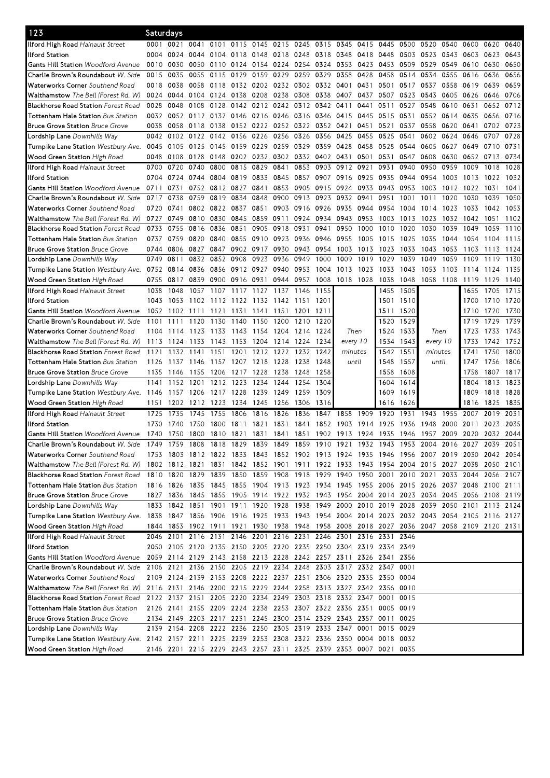| 123                                                                                                                           | Saturdays |           |                |           |                |                |                               |                |                |                                                                                           |           |      |              |                |      |                |           |      |
|-------------------------------------------------------------------------------------------------------------------------------|-----------|-----------|----------------|-----------|----------------|----------------|-------------------------------|----------------|----------------|-------------------------------------------------------------------------------------------|-----------|------|--------------|----------------|------|----------------|-----------|------|
| Ilford High Road Hainault Street                                                                                              | 0001      | 0021      | 0041           | 0101      | 0115           | 0145 0215      |                               |                | 0245 0315 0345 |                                                                                           | 0415      | 0445 | 0500         | 0520           | 0540 | 0600           | 0620      | 0640 |
| llford Station                                                                                                                | 0004      | 0024      |                | 0044 0104 | 0118           | 0148           | 0218                          | 0248           | 0318           | 0348                                                                                      | 0418      | 0448 | 0503         | 0523           | 0543 | 0603           | 0623      | 0643 |
| <b>Gants Hill Station Woodford Avenue</b>                                                                                     | 0010      | 0030      |                | 0050 0110 | 0124           | 0154 0224      |                               | 0254 0324      |                | 0353                                                                                      | 0423      | 0453 | 0509         | 0529           | 0549 | 0610           | 0630      | 0650 |
| Charlie Brown's Roundabout W. Side                                                                                            | 0015      | 0035      |                | 0055 0115 | 0129           | 0159 0229      |                               | 0259           | 0329           | 0358                                                                                      | 0428      | 0458 | 0514         | 0534           | 0555 | 0616           | 0636      | 0656 |
| Waterworks Corner Southend Road                                                                                               | 0018      | 0038      | 0058 0118      |           |                |                | 0132 0202 0232 0302 0332 0401 |                |                |                                                                                           | 0431      | 0501 | 0517         | 0537           | 0558 | 0619           | 0639      | 0659 |
| <b>Walthamstow</b> The Bell (Forest Rd. W)                                                                                    | 0024      | 0044      | 0104 0124      |           | 0138           | 0208           | 0238                          | 0308           | 0338           | 0407                                                                                      | 0437      | 0507 | 0523         | 0543           | 0605 | 0626           | 0646      | 0706 |
| <b>Blackhorse Road Station Forest Road</b>                                                                                    | 0028      | 0048      | 0108           | 0128      | 0142           | 0212 0242      |                               | 0312 0342      |                | 0411                                                                                      | 0441      | 0511 | 0527         | 0548           | 0610 | 0631           | 0652      | 0712 |
| <b>Tottenham Hale Station</b> Bus Station                                                                                     | 0032      | 0052      | 0112 0132      |           | 0146           | 0216 0246      |                               | 0316 0346      |                | 0415                                                                                      | 0445      | 0515 | 0531         | 0552           | 0614 | 0635           | 0656      | 0716 |
| <b>Bruce Grove Station Bruce Grove</b>                                                                                        | 0038      | 0058      | 0118 0138      |           |                | 0152 0222 0252 |                               | 0322           | 0352           | 0421                                                                                      | 0451      | 0521 | 0537         | 0558           | 0620 | 0641           | 0702      | 0723 |
| Lordship Lane Downhills Way                                                                                                   | 0042      | 0102      | 0122           | 0142      | 0156           | 0226           | 0256                          | 0326           | 0356           | 0425                                                                                      | 0455      | 0525 | 0541         | 0602           | 0624 | 0646           | 0707      | 0728 |
| Turnpike Lane Station <i>Westbury Ave.</i>                                                                                    | 0045      | 0105      | 0125 0145      |           | 0159 0229 0259 |                |                               | 0329           | 0359           | 0428                                                                                      | 0458      | 0528 | 0544         | 0605           | 0627 | 0649           | 0710      | 0731 |
| Wood Green Station High Road                                                                                                  | 0048      | 0108      | 0128           | 0148      | 0202 0232 0302 |                |                               |                | 0332 0402 0431 |                                                                                           | 0501      | 0531 | 0547         | 0608           | 0630 | 0652 0713      |           | 0734 |
| <b>Ilford High Road</b> Hainault Street                                                                                       | 0700      | 0720      | 0740           | 0800      | 0815           | 0829           | 0841                          | 0853           | 0903           | 0912                                                                                      | 0921      | 0931 | 0940         | 0950           | 0959 | 1009           | 1018      | 1028 |
| llford Station                                                                                                                | 0704      | 0724      | 0744 0804      |           | 0819           | 0833           | 0845                          | 0857           | 0907           | 0916                                                                                      | 0925      | 0935 | 0944         | 0954           | 1003 | 1013           | 1022      | 1032 |
| <b>Gants Hill Station Woodford Avenue</b>                                                                                     | 0711      | 0731      |                | 0752 0812 | 0827           | 0841           | 0853                          | 0905           | 0915           | 0924                                                                                      | 0933      | 0943 | 0953         | 1003           | 1012 | 1022           | 1031      | 1041 |
| Charlie Brown's Roundabout <i>W. Side</i>                                                                                     | 0717      | 0738      |                | 0759 0819 | 0834           | 0848           | 0900                          | 0913           | 0923           | 0932                                                                                      | 0941      | 0951 | 1001         | 1011           | 1020 | 1030           | 1039      | 1050 |
| Waterworks Corner Southend Road                                                                                               | 0720      | 0741      |                | 0802 0822 | 0837           | 0851           | 0903                          | 0916 0926      |                | 0935                                                                                      | 0944 0954 |      | 1004         | 1014           | 1023 | 1033           | 1042      | 1053 |
| <b>Walthamstow</b> The Bell (Forest Rd. W)                                                                                    | 0727      | 0749      | 0810           | 0830      | 0845           | 0859 0911      |                               | 0924 0934      |                | 0943                                                                                      | 0953      | 1003 | 1013         | 1023           | 1032 | 1042           | 1051      | 1102 |
| <b>Blackhorse Road Station Forest Road</b>                                                                                    | 0733      | 0755      | 0816           | 0836      | 0851           | 0905           | 0918                          | 0931           | 0941           | 0950                                                                                      | 1000      | 1010 | 1020         | 1030           | 1039 | 1049           | 1059      | 1110 |
| <b>Tottenham Hale Station</b> Bus Station                                                                                     | 0737      | 0759      | 0820 0840      |           | 0855           | 0910           | 0923                          | 0936           | 0946           | 0955                                                                                      | 1005      | 1015 | 1025         | 1035           | 1044 | 1054           | 1104      | 1115 |
| <b>Bruce Grove Station Bruce Grove</b>                                                                                        | 0744      | 0806      | 0827           | 0847      |                | 0902 0917      | 0930                          | 0943           | 0954           | 1003                                                                                      | 1013      | 1023 |              | 1043           | 1053 |                | 1113      | 1124 |
|                                                                                                                               | 0749      | 0811      | 0832           | 0852      | 0908           | 0923           | 0936                          | 0949           | 1000           | 1009                                                                                      | 1019      | 1029 | 1033<br>1039 | 1049           | 1059 | 1103<br>1109   | 1119      | 1130 |
| <b>Lordship Lane</b> Downhills Way                                                                                            |           |           | 0836 0856      |           | 0912 0927      |                | 0940                          | 0953           | 1004           | 1013                                                                                      |           |      | 1043         | 1053           |      |                |           | 1135 |
| Turnpike Lane Station <i>Westbury Ave.</i>                                                                                    | 0752      | 0814      |                |           |                |                |                               |                |                |                                                                                           | 1023      | 1033 |              |                | 1103 | 1114           | 1124      |      |
| Wood Green Station High Road                                                                                                  | 0755      | 0817      | 0839 0900      |           | 0916 0931      |                |                               | 0944 0957 1008 |                | 1018 1028                                                                                 |           | 1038 | 1048         | 1058 1108      |      | 1119           | 1129      | 1140 |
| Ilford High Road Hainault Street                                                                                              | 1038      | 1048      | 1057           | 1107      | 1117           | 1127           | 1137                          | 1146           | 1155           |                                                                                           |           | 1455 | 1505         |                |      | 1655           | 1705      | 1715 |
| llford Station                                                                                                                | 1043      | 1053      | 1102 1112      |           |                |                | 1122 1132 1142 1151 1201      |                |                |                                                                                           |           |      | 1501 1510    |                |      | 1700           | 1710 1720 |      |
| <b>Gants Hill Station Woodford Avenue</b>                                                                                     | 1052      | 1102      | 1111           | 1121      | 1131           | 1141           | 1151                          | 1201           | 1211           |                                                                                           |           | 1511 | 1520         |                |      | 1710           | 1720      | 1730 |
| Charlie Brown's Roundabout W. Side                                                                                            | 1101      | 1111      | 1120           | 1130      | 1140           | 1150           | 1200                          | 1210           | 1220           |                                                                                           |           | 1520 | 1529         |                |      | 1719           | 1729      | 1739 |
| Waterworks Corner Southend Road                                                                                               | 1104      | 1114      | 1123           | 1133      | 1143           | 1154           | 1204                          | 1214           | 1224           | Then                                                                                      |           | 1524 | 1533         | Then           |      | 1723           | 1733      | 1743 |
| Walthamstow The Bell (Forest Rd. W)                                                                                           | 1113      | 1124      | 1133           | 1143      | 1153           | 1204           | 1214                          | 1224           | 1234           | every 10                                                                                  |           | 1534 | 1543         | every 10       |      | 1733           | 1742      | 1752 |
| <b>Blackhorse Road Station Forest Road</b>                                                                                    | 1121      | 1132      | 1141           | 1151      | 1201           | 1212           | 1222                          | 1232           | 1242           | minutes                                                                                   |           | 1542 | 1551         | minutes        |      | 1741           | 1750      | 1800 |
| <b>Tottenham Hale Station</b> Bus Station                                                                                     | 1126      | 1137      | 1146           | 1157      | 1207 1218      |                | 1228                          | 1238           | 1248           | until                                                                                     |           | 1548 | 1557         | until          |      | 1747           | 1756      | 1806 |
| <b>Bruce Grove Station Bruce Grove</b>                                                                                        | 1135      | 1146      | 1155           | 1206      | 1217           | 1228           | 1238                          | 1248           | 1258           |                                                                                           |           | 1558 | 1608         |                |      | 1758           | 1807      | 1817 |
| <b>Lordship Lane</b> Downhills Way                                                                                            | 1141      | 1152      | 1201           | 1212      | 1223           | 1234           | 1244                          | 1254           | 1304           |                                                                                           |           | 1604 | 1614         |                |      | 1804           | 1813      | 1823 |
| Turnpike Lane Station Westbury Ave. 1146                                                                                      |           | 1157      | 1206           | 1217      | 1228           | 1239           | 1249                          | 1259           | 1309           |                                                                                           |           | 1609 | 1619         |                |      | 1809           | 1818      | 1828 |
| Wood Green Station High Road                                                                                                  | 1151      | 1202      | 1212           | 1223      | 1234           | 1245           | 1256                          | 1306           | 1316           |                                                                                           |           | 1616 | 1626         |                |      | 1816           | 1825      | 1835 |
| Ilford High Road Hainault Street                                                                                              | 1725      | 1735      | 1745           | 1755      | 1806           | 1816           | 1826                          | 1836           | 1847           | 1858                                                                                      | 1909      | 1920 | 1931         | 1943           | 1955 | 2007           | 2019      | 2031 |
| llford Station                                                                                                                | 1730      | 1740      | 1750           | 1800      | 1811           | 1821           | 1831                          | 1841           | 1852           | 1903                                                                                      | 1914      | 1925 | 1936         | 1948           | 2000 | 2011           | 2023      | 2035 |
| <b>Gants Hill Station</b> Woodford Avenue                                                                                     | 1740      |           |                |           |                |                |                               |                |                | 1750 1800 1810 1821 1831 1841 1851 1902 1913 1924 1935 1946 1957 2009 2020 2032 2044      |           |      |              |                |      |                |           |      |
| Charlie Brown's Roundabout W. Side                                                                                            | 1749      |           | 1759 1808 1818 |           |                |                |                               |                |                | 1829 1839 1849 1859 1910 1921 1932                                                        |           | 1943 |              | 1953 2004 2016 |      | 2027 2039 2051 |           |      |
| Waterworks Corner Southend Road                                                                                               |           |           |                |           |                |                |                               |                |                | 1753 1803 1812 1822 1833 1843 1852 1902 1913 1924 1935 1946 1956 2007 2019 2030 2042 2054 |           |      |              |                |      |                |           |      |
| Walthamstow The Bell (Forest Rd. W)                                                                                           |           |           |                |           |                |                |                               |                |                | 1802 1812 1821 1831 1842 1852 1901 1911 1922 1933 1943 1954 2004 2015 2027 2038           |           |      |              |                |      |                | 2050 2101 |      |
| <b>Blackhorse Road Station Forest Road</b>                                                                                    |           | 1810 1820 | 1829 1839      |           |                |                |                               |                |                | 1850 1859 1908 1918 1929 1940 1950 2001 2010 2021                                         |           |      |              |                |      | 2033 2044      | 2056 2107 |      |
| <b>Tottenham Hale Station</b> Bus Station                                                                                     |           |           |                |           |                |                |                               |                |                | 1816 1826 1835 1845 1855 1904 1913 1923 1934 1945 1955 2006 2015 2026 2037 2048 2100 2111 |           |      |              |                |      |                |           |      |
| <b>Bruce Grove Station Bruce Grove</b>                                                                                        |           |           |                |           |                |                |                               |                |                | 1827 1836 1845 1855 1905 1914 1922 1932 1943 1954 2004 2014 2023 2034 2045 2056 2108 2119 |           |      |              |                |      |                |           |      |
| Lordship Lane Downhills Way                                                                                                   |           |           |                |           |                |                |                               |                |                | 1833 1842 1851 1901 1911 1920 1928 1938 1949 2000 2010 2019 2028 2039 2050 2101 2113 2124 |           |      |              |                |      |                |           |      |
| Turnpike Lane Station Westbury Ave. 1838 1847 1856 1906 1916 1925 1933 1943 1954 2004 2014 2023 2032 2043 2054 2105 2116 2127 |           |           |                |           |                |                |                               |                |                |                                                                                           |           |      |              |                |      |                |           |      |
| Wood Green Station High Road                                                                                                  |           |           |                |           |                |                |                               |                |                | 1844 1853 1902 1911 1921 1930 1938 1948 1958 2008 2018 2027 2036 2047 2058 2109 2120 2131 |           |      |              |                |      |                |           |      |
| Ilford High Road Hainault Street                                                                                              |           |           |                |           |                |                |                               |                |                | 2046 2101 2116 2131 2146 2201 2216 2231 2246 2301 2316 2331 2346                          |           |      |              |                |      |                |           |      |
| llford Station                                                                                                                |           |           |                |           |                |                |                               |                |                | 2050 2105 2120 2135 2150 2205 2220 2235 2250 2304 2319 2334 2349                          |           |      |              |                |      |                |           |      |
| Gants Hill Station Woodford Avenue                                                                                            |           |           |                |           |                |                |                               |                |                | 2059 2114 2129 2143 2158 2213 2228 2242 2257 2311 2326 2341 2356                          |           |      |              |                |      |                |           |      |
| Charlie Brown's Roundabout W. Side                                                                                            |           |           |                |           |                |                |                               |                |                | 2106 2121 2136 2150 2205 2219 2234 2248 2303 2317 2332 2347 0001                          |           |      |              |                |      |                |           |      |
| <b>Waterworks Corner</b> Southend Road                                                                                        |           |           |                |           |                |                |                               |                |                | 2109 2124 2139 2153 2208 2222 2237 2251 2306 2320 2335 2350 0004                          |           |      |              |                |      |                |           |      |
| <b>Walthamstow</b> The Bell (Forest Rd. W)                                                                                    |           |           |                |           |                |                |                               |                |                | 2116 2131 2146 2200 2215 2229 2244 2258 2313 2327 2342 2356 0010                          |           |      |              |                |      |                |           |      |
| <b>Blackhorse Road Station Forest Road</b>                                                                                    |           |           |                |           |                |                |                               |                |                | 2122 2137 2151 2205 2220 2234 2249 2303 2318 2332 2347 0001 0015                          |           |      |              |                |      |                |           |      |
| Tottenham Hale Station Bus Station                                                                                            |           |           |                |           |                |                |                               |                |                | 2126 2141 2155 2209 2224 2238 2253 2307 2322 2336 2351 0005 0019                          |           |      |              |                |      |                |           |      |
| <b>Bruce Grove Station Bruce Grove</b>                                                                                        |           |           |                |           |                |                |                               |                |                | 2134 2149 2203 2217 2231 2245 2300 2314 2329 2343 2357 0011 0025                          |           |      |              |                |      |                |           |      |
| Lordship Lane Downhills Way                                                                                                   |           |           |                |           |                |                |                               |                |                | 2139 2154 2208 2222 2236 2250 2305 2319 2333 2347 0001 0015 0029                          |           |      |              |                |      |                |           |      |
| Turnpike Lane Station Westbury Ave. 2142 2157 2211 2225 2239 2253 2308 2322 2336 2350 0004 0018 0032                          |           |           |                |           |                |                |                               |                |                |                                                                                           |           |      |              |                |      |                |           |      |
| Wood Green Station High Road                                                                                                  |           |           |                |           |                |                |                               |                |                | 2146 2201 2215 2229 2243 2257 2311 2325 2339 2353 0007 0021 0035                          |           |      |              |                |      |                |           |      |
|                                                                                                                               |           |           |                |           |                |                |                               |                |                |                                                                                           |           |      |              |                |      |                |           |      |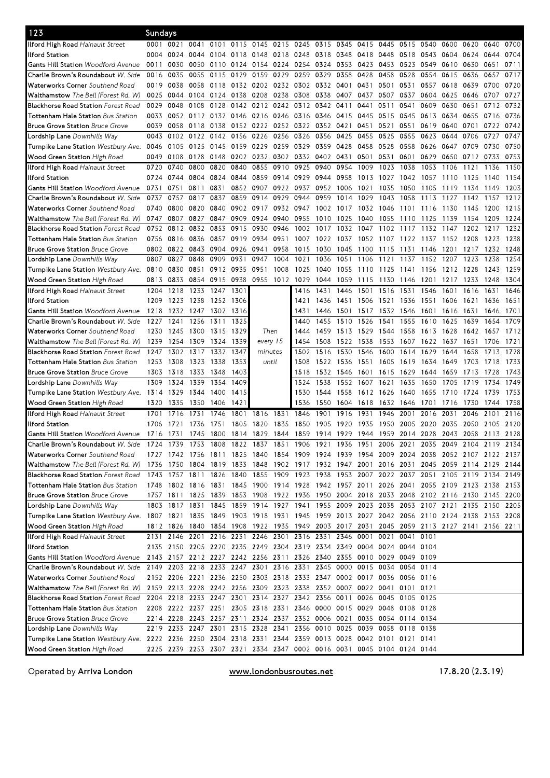| 123                                                                                                                           | Sundays |      |                     |           |           |                     |      |                                                                       |           |                                                                       |      |                |      |      |                                                                                           |              |              |      |
|-------------------------------------------------------------------------------------------------------------------------------|---------|------|---------------------|-----------|-----------|---------------------|------|-----------------------------------------------------------------------|-----------|-----------------------------------------------------------------------|------|----------------|------|------|-------------------------------------------------------------------------------------------|--------------|--------------|------|
| <b>Iford High Road Hainault Street</b>                                                                                        | 0001    | 0021 | 0041 0101           |           | 0115      |                     |      | 0145 0215 0245 0315 0345                                              |           |                                                                       | 0415 | 0445           | 0515 | 0540 | 0600                                                                                      | 0620         | 0640         | 0700 |
| llford Station                                                                                                                | 0004    | 0024 | 0044 0104           |           | 0118 0148 |                     | 0218 | 0248 0318 0348                                                        |           |                                                                       | 0418 | 0448           | 0518 | 0543 | 0604 0624                                                                                 |              | 0644         | 0704 |
| <b>Gants Hill Station Woodford Avenue</b>                                                                                     | 0011    | 0030 | 0050                | 0110      | 0124      | 0154 0224           |      | 0254                                                                  | 0324 0353 |                                                                       | 0423 | 0453           | 0523 | 0549 | 0610                                                                                      | 0630         | 0651         | 0711 |
| Charlie Brown's Roundabout W. Side                                                                                            | 0016    | 0035 |                     | 0055 0115 | 0129      | 0159 0229           |      | 0259                                                                  | 0329      | 0358                                                                  | 0428 | 0458           | 0528 | 0554 | 0615                                                                                      | 0636         | 0657         | 0717 |
| Waterworks Corner Southend Road                                                                                               | 0019    | 0038 | 0058 0118           |           |           |                     |      | 0132 0202 0232 0302 0332 0401                                         |           |                                                                       | 0431 | 0501           | 0531 | 0557 | 0618                                                                                      | 0639         | 0700         | 0720 |
| <b>Walthamstow</b> The Bell (Forest Rd. W)                                                                                    | 0025    | 0044 | 0104 0124           |           | 0138      | 0208                | 0238 | 0308                                                                  | 0338      | 0407                                                                  | 0437 | 0507           | 0537 | 0604 | 0625                                                                                      | 0646         | 0707         | 0727 |
| <b>Blackhorse Road Station Forest Road</b>                                                                                    | 0029    | 0048 | 0108                | 0128      | 0142      | 0212 0242           |      | 0312 0342                                                             |           | 0411                                                                  | 0441 | 0511           | 0541 | 0609 | 0630                                                                                      | 0651         | 0712         | 0732 |
| <b>Tottenham Hale Station</b> Bus Station                                                                                     | 0033    | 0052 | 0112 0132           |           |           | 0146 0216 0246      |      | 0316 0346                                                             |           | 0415                                                                  | 0445 | 0515           | 0545 | 0613 | 0634                                                                                      | 0655         | 0716         | 0736 |
| <b>Bruce Grove Station Bruce Grove</b>                                                                                        | 0039    | 0058 | 0118 0138           |           |           | 0152 0222 0252      |      | 0322                                                                  | 0352      | 0421                                                                  | 0451 | 0521           | 0551 | 0619 | 0640                                                                                      | 0701         | 0722         | 0742 |
| Lordship Lane Downhills Way                                                                                                   | 0043    | 0102 | 0122                | 0142      | 0156      | 0226                | 0256 | 0326                                                                  | 0356      | 0425                                                                  | 0455 | 0525           | 0555 | 0623 | 0644                                                                                      | 0706         | 0727         | 0747 |
| Turnpike Lane Station <i>Westbury Ave.</i>                                                                                    | 0046    | 0105 | 0125 0145           |           |           | 0159 0229 0259      |      | 0329                                                                  | 0359      | 0428                                                                  | 0458 | 0528           | 0558 | 0626 | 0647                                                                                      | 0709         | 0730         | 0750 |
| <b>Wood Green Station</b> High Road                                                                                           | 0049    | 0108 | 0128                | 0148      |           | 0202 0232 0302      |      | 0332 0402 0431                                                        |           |                                                                       | 0501 | 0531           | 0601 | 0629 | 0650                                                                                      | 0712         | 0733         | 0753 |
| <b>Ilford High Road</b> Hainault Street                                                                                       | 0720    | 0740 | 0800                | 0820      | 0840      | 0855                | 0910 | 0925                                                                  | 0940      | 0954                                                                  | 1009 | 1023           | 1038 | 1053 | 1106                                                                                      | 1121         | 1136         | 1150 |
| llford Station                                                                                                                | 0724    | 0744 | 0804 0824           |           | 0844      | 0859 0914           |      | 0929                                                                  | 0944 0958 |                                                                       | 1013 | 1027           | 1042 | 1057 | 1110                                                                                      | 1125         | 1140         | 1154 |
| <b>Gants Hill Station Woodford Avenue</b>                                                                                     | 0731    | 0751 | 0811                | 0831      |           | 0852 0907           | 0922 | 0937                                                                  | 0952      | 1006                                                                  | 1021 | 1035           | 1050 | 1105 | 1119                                                                                      | 1134         | 1149         | 1203 |
| Charlie Brown's Roundabout <i>W. Side</i>                                                                                     | 0737    | 0757 | 0817                | 0837      | 0859      | 0914                | 0929 | 0944                                                                  | 0959      | 1014                                                                  | 1029 | 1043           | 1058 | 1113 | 1127                                                                                      | 1142         | 1157         | 1212 |
|                                                                                                                               | 0740    | 0800 | 0820 0840           |           |           | 0902 0917           | 0932 | 0947                                                                  | 1002 1017 |                                                                       |      | 1032 1046 1101 |      |      |                                                                                           |              |              | 1215 |
| Waterworks Corner Southend Road<br><b>Walthamstow</b> The Bell (Forest Rd. W)                                                 | 0747    | 0807 | 0827                | 0847      | 0909      | 0924 0940           |      | 0955                                                                  | 1010      | 1025                                                                  | 1040 | 1055           | 1110 | 1116 | 1130<br>1139                                                                              | 1145<br>1154 | 1200<br>1209 | 1224 |
|                                                                                                                               |         |      |                     |           |           |                     |      |                                                                       |           |                                                                       |      |                |      | 1125 |                                                                                           |              |              |      |
| <b>Blackhorse Road Station</b> Forest Road                                                                                    | 0752    | 0812 | 0832                | 0853      | 0915      | 0930                | 0946 | 1002                                                                  | 1017      | 1032                                                                  | 1047 | 1102           | 1117 | 1132 | 1147                                                                                      | 1202         | 1217         | 1232 |
| <b>Tottenham Hale Station</b> Bus Station                                                                                     | 0756    | 0816 | 0836                | 0857      | 0919      | 0934                | 0951 | 1007                                                                  | 1022      | 1037                                                                  | 1052 | 1107           | 1122 | 1137 | 1152                                                                                      | 1208         | 1223         | 1238 |
| <b>Bruce Grove Station Bruce Grove</b>                                                                                        | 0802    | 0822 | 0843 0904           |           | 0926      | 0941                | 0958 | 1015                                                                  | 1030      | 1045                                                                  | 1100 | 1115           | 1131 | 1146 | 1201                                                                                      | 1217         | 1232         | 1248 |
| <b>Lordship Lane</b> Downhills Way                                                                                            | 0807    | 0827 | 0848                | 0909      | 0931      | 0947                | 1004 | 1021                                                                  | 1036      | 1051                                                                  | 1106 | 1121           | 1137 | 1152 | 1207                                                                                      | 1223         | 1238         | 1254 |
| Turnpike Lane Station Westbury Ave.                                                                                           | 0810    | 0830 | 0851                | 0912      | 0935      | 0951                | 1008 | 1025                                                                  | 1040      | 1055                                                                  | 1110 | 1125           | 1141 | 1156 | 1212 1228                                                                                 |              | 1243         | 1259 |
| Wood Green Station High Road                                                                                                  | 0813    | 0833 | 0854 0915           |           |           | 0938 0955 1012 1029 |      |                                                                       | 1044      | 1059                                                                  | 1115 | 1130 1146      |      | 1201 | 1217                                                                                      | 1233         | 1248         | 1304 |
| Ilford High Road Hainault Street                                                                                              | 1204    | 1218 | 1233 1247           |           | 1301      |                     |      | 1416                                                                  | 1431      | 1446                                                                  | 1501 | 1516           | 1531 | 1546 | 1601                                                                                      | 1616         | 1631         | 1646 |
| llford Station                                                                                                                | 1209    | 1223 | 1238 1252 1306      |           |           |                     |      | 1421                                                                  | 1436      | 1451                                                                  | 1506 | 1521           | 1536 | 1551 | 1606                                                                                      | 1621         | 1636         | 1651 |
| <b>Gants Hill Station Woodford Avenue</b>                                                                                     | 1218    |      | 1232 1247 1302      |           | 1316      |                     |      | 1431                                                                  | 1446      | 1501                                                                  | 1517 | 1532 1546      |      | 1601 | 1616                                                                                      | 1631         | 1646         | 1701 |
| Charlie Brown's Roundabout W. Side                                                                                            | 1227    | 1241 | 1256                | 1311      | 1325      |                     |      | 1440                                                                  | 1455      | 1510                                                                  | 1526 | 1541           | 1555 | 1610 | 1625                                                                                      | 1639         | 1654         | 1709 |
| Waterworks Corner Southend Road                                                                                               | 1230    | 1245 | 1300 1315           |           | 1329      | Then                |      | 1444                                                                  | 1459      | 1513                                                                  | 1529 | 1544           | 1558 | 1613 | 1628                                                                                      | 1642         | 1657         | 1712 |
| Walthamstow The Bell (Forest Rd. W)                                                                                           | 1239    | 1254 | 1309                | 1324      | 1339      | every 15            |      | 1454                                                                  | 1508      | 1522                                                                  | 1538 | 1553           | 1607 | 1622 | 1637                                                                                      | 1651         | 1706         | 1721 |
| <b>Blackhorse Road Station Forest Road</b>                                                                                    | 1247    | 1302 | 1317                | 1332      | 1347      | minutes             |      | 1502                                                                  | 1516      | 1530                                                                  | 1546 | 1600           | 1614 | 1629 | 1644                                                                                      | 1658         | 1713         | 1728 |
| <b>Tottenham Hale Station Bus Station</b>                                                                                     | 1253    | 1308 | 1323                | 1338      | 1353      | until               |      | 1508                                                                  | 1522      | 1536                                                                  | 1551 | 1605           | 1619 | 1634 | 1649                                                                                      | 1703         | 1718         | 1733 |
| <b>Bruce Grove Station Bruce Grove</b>                                                                                        | 1303    | 1318 | 1333                | 1348      | 1403      |                     |      | 1518                                                                  | 1532      | 1546                                                                  | 1601 | 1615           | 1629 | 1644 | 1659                                                                                      | 1713         | 1728         | 1743 |
| Lordship Lane Downhills Way                                                                                                   | 1309    | 1324 | 1339                | 1354      | 1409      |                     |      | 1524                                                                  | 1538      | 1552                                                                  | 1607 | 1621           | 1635 | 1650 | 1705                                                                                      | 1719         | 1734         | 1749 |
| Turnpike Lane Station Westbury Ave. 1314                                                                                      |         | 1329 | 1344                | 1400      | 1415      |                     |      | 1530                                                                  | 1544      | 1558                                                                  | 1612 | 1626           | 1640 | 1655 | 1710                                                                                      | 1724         | 1739         | 1753 |
| Wood Green Station High Road                                                                                                  | 1320    | 1335 | 1350                | 1406      | 1421      |                     |      | 1536                                                                  | 1550      | 1604                                                                  | 1618 | 1632 1646      |      | 1701 | 1716                                                                                      | 1730         | 1744         | 1758 |
| Ilford High Road Hainault Street                                                                                              | 1701    | 1716 | 1731                | 1746      | 1801      | 1816                | 1831 | 1846                                                                  | 1901      | 1916                                                                  | 1931 | 1946           | 2001 | 2016 | 2031                                                                                      | 2046         | 2101         | 2116 |
| llford Station                                                                                                                | 1706    | 1721 | 1736                | 1751      | 1805      | 1820                | 1835 | 1850                                                                  | 1905      | 1920                                                                  | 1935 | 1950           | 2005 | 2020 | 2035                                                                                      | 2050         | 2105 2120    |      |
| Gants Hill Station Woodford Avenue                                                                                            | 1716    | 1731 |                     |           |           |                     |      |                                                                       |           |                                                                       |      |                |      |      | 1745 1800 1814 1829 1844 1859 1914 1929 1944 1959 2014 2028 2043 2058 2113 2128           |              |              |      |
| Charlie Brown's Roundabout W. Side                                                                                            | 1724    |      | 1739 1753 1808 1822 |           |           |                     |      | 1837 1851 1906 1921 1936                                              |           |                                                                       |      |                |      |      | 1951 2006 2021 2035 2049 2104 2119 2134                                                   |              |              |      |
| <b>Waterworks Corner</b> Southend Road                                                                                        |         |      |                     |           |           |                     |      |                                                                       |           |                                                                       |      |                |      |      | 1727 1742 1756 1811 1825 1840 1854 1909 1924 1939 1954 2009 2024 2038 2052 2107 2122 2137 |              |              |      |
| Walthamstow The Bell (Forest Rd. W)                                                                                           | 1736    | 1750 |                     |           |           |                     |      |                                                                       |           |                                                                       |      |                |      |      | 1804 1819 1833 1848 1902 1917 1932 1947 2001 2016 2031 2045 2059 2114 2129 2144           |              |              |      |
| <b>Blackhorse Road Station Forest Road</b>                                                                                    |         |      | 1743 1757 1811 1826 |           |           |                     |      |                                                                       |           |                                                                       |      |                |      |      | 1840 1855 1909 1923 1938 1953 2007 2022 2037 2051 2105 2119 2134 2149                     |              |              |      |
| Tottenham Hale Station Bus Station                                                                                            |         |      |                     |           |           |                     |      |                                                                       |           |                                                                       |      |                |      |      | 1748 1802 1816 1831 1845 1900 1914 1928 1942 1957 2011 2026 2041 2055 2109 2123 2138 2153 |              |              |      |
| <b>Bruce Grove Station Bruce Grove</b>                                                                                        |         |      |                     |           |           |                     |      |                                                                       |           |                                                                       |      |                |      |      | 1757 1811 1825 1839 1853 1908 1922 1936 1950 2004 2018 2033 2048 2102 2116 2130 2145 2200 |              |              |      |
| <b>Lordship Lane</b> Downhills Way                                                                                            |         |      |                     |           |           |                     |      |                                                                       |           |                                                                       |      |                |      |      | 1803 1817 1831 1845 1859 1914 1927 1941 1955 2009 2023 2038 2053 2107 2121 2135 2150 2205 |              |              |      |
| Turnpike Lane Station Westbury Ave. 1807 1821 1835 1849 1903 1918 1931 1945 1959 2013 2027 2042 2056 2110 2124 2138 2153 2208 |         |      |                     |           |           |                     |      |                                                                       |           |                                                                       |      |                |      |      |                                                                                           |              |              |      |
| <b>Wood Green Station</b> High Road                                                                                           |         |      |                     |           |           |                     |      |                                                                       |           |                                                                       |      |                |      |      | 1812 1826 1840 1854 1908 1922 1935 1949 2003 2017 2031 2045 2059 2113 2127 2141 2156 2211 |              |              |      |
| Ilford High Road Hainault Street                                                                                              |         |      |                     |           |           |                     |      | 2131 2146 2201 2216 2231 2246 2301 2316 2331 2346 0001 0021 0041 0101 |           |                                                                       |      |                |      |      |                                                                                           |              |              |      |
| llford Station                                                                                                                |         |      |                     |           |           |                     |      | 2135 2150 2205 2220 2235 2249 2304 2319 2334 2349 0004 0024 0044 0104 |           |                                                                       |      |                |      |      |                                                                                           |              |              |      |
| Gants Hill Station Woodford Avenue                                                                                            |         |      |                     |           |           |                     |      | 2143 2157 2212 2227 2242 2256 2311 2326 2340 2355 0010 0029 0049 0109 |           |                                                                       |      |                |      |      |                                                                                           |              |              |      |
| Charlie Brown's Roundabout W. Side                                                                                            |         |      |                     |           |           |                     |      | 2149 2203 2218 2233 2247 2301 2316 2331 2345 0000 0015 0034 0054 0114 |           |                                                                       |      |                |      |      |                                                                                           |              |              |      |
| <b>Waterworks Corner</b> Southend Road                                                                                        |         |      |                     |           |           |                     |      | 2152 2206 2221 2236 2250 2303 2318 2333 2347 0002 0017 0036 0056 0116 |           |                                                                       |      |                |      |      |                                                                                           |              |              |      |
|                                                                                                                               |         |      |                     |           |           |                     |      | 2159 2213 2228 2242 2256 2309 2323 2338 2352 0007 0022 0041 0101 0121 |           |                                                                       |      |                |      |      |                                                                                           |              |              |      |
| <b>Walthamstow</b> The Bell (Forest Rd. W)<br><b>Blackhorse Road Station Forest Road</b>                                      |         |      |                     |           |           |                     |      | 2204 2218 2233 2247 2301 2314 2327 2342 2356 0011 0026 0045 0105 0125 |           |                                                                       |      |                |      |      |                                                                                           |              |              |      |
|                                                                                                                               |         |      |                     |           |           |                     |      |                                                                       |           |                                                                       |      |                |      |      |                                                                                           |              |              |      |
| Tottenham Hale Station Bus Station                                                                                            |         |      |                     |           |           |                     |      | 2208 2222 2237 2251 2305 2318 2331 2346 0000 0015 0029 0048 0108 0128 |           |                                                                       |      |                |      |      |                                                                                           |              |              |      |
| <b>Bruce Grove Station Bruce Grove</b>                                                                                        |         |      |                     |           |           |                     |      | 2214 2228 2243 2257 2311 2324 2337 2352 0006 0021 0035 0054 0114 0134 |           |                                                                       |      |                |      |      |                                                                                           |              |              |      |
| Lordship Lane Downhills Way                                                                                                   |         |      |                     |           |           |                     |      | 2219 2233 2247 2301 2315 2328 2341 2356 0010 0025 0039 0058 0118 0138 |           |                                                                       |      |                |      |      |                                                                                           |              |              |      |
| Turnpike Lane Station Westbury Ave. 2222 2236 2250 2304 2318 2331 2344 2359 0013 0028 0042 0101 0121 0141                     |         |      |                     |           |           |                     |      |                                                                       |           |                                                                       |      |                |      |      |                                                                                           |              |              |      |
| Wood Green Station High Road                                                                                                  |         |      |                     |           |           |                     |      |                                                                       |           | 2225 2239 2253 2307 2321 2334 2347 0002 0016 0031 0045 0104 0124 0144 |      |                |      |      |                                                                                           |              |              |      |

Operated by Arriva London **www.londonbusroutes.net** 17.8.20 (2.3.19)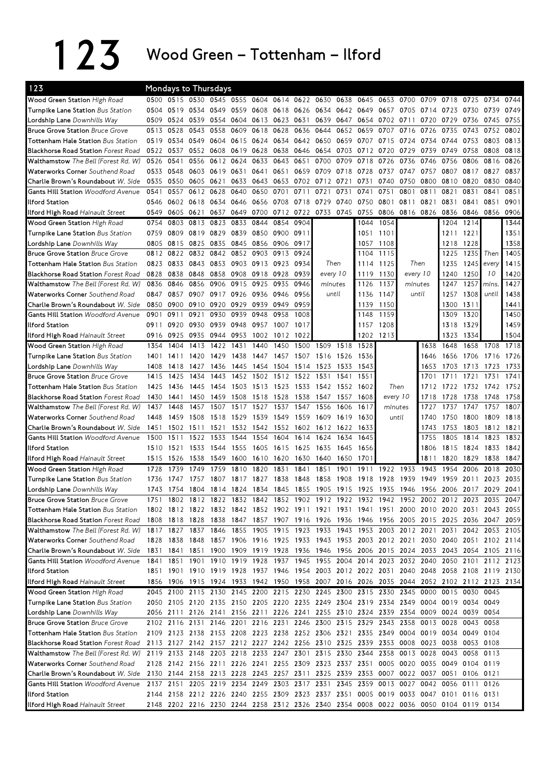123 Wood Green – Tottenham – Ilford

| 123                                                                     |           |      | <b>Mondays to Thursdays</b>             |           |      |           |              |           |                                                                       |              |                     |           |           |      |                                                                                           |      |           |      |
|-------------------------------------------------------------------------|-----------|------|-----------------------------------------|-----------|------|-----------|--------------|-----------|-----------------------------------------------------------------------|--------------|---------------------|-----------|-----------|------|-------------------------------------------------------------------------------------------|------|-----------|------|
| Wood Green Station High Road                                            |           |      | 0500 0515 0530 0545 0555                |           |      | 0604      | 0614         | 0622      | 0630                                                                  | 0638         | 0645                | 0653      | 0700      | 0709 | 0718                                                                                      | 0725 | 0734      | 0744 |
| Turnpike Lane Station Bus Station                                       | 0504      | 0519 | 0534 0549                               |           | 0559 | 0608      | 0618         | 0626 0634 |                                                                       | 0642         | 0649                | 0657      | 0705      | 0714 | 0723                                                                                      | 0730 | 0739      | 0749 |
| Lordship Lane Downhills Way                                             | 0509      | 0524 | 0539                                    | 0554      |      | 0604 0613 | 0623         | 0631      | 0639                                                                  |              | 0647 0654 0702 0711 |           |           | 0720 | 0729                                                                                      | 0736 | 0745      | 0755 |
| <b>Bruce Grove Station Bruce Grove</b>                                  | 0513      | 0528 | 0543                                    | 0558      | 0609 | 0618      | 0628         | 0636      | 0644                                                                  | 0652         | 0659                | 0707      | 0716      | 0726 | 0735                                                                                      | 0743 | 0752      | 0802 |
| <b>Tottenham Hale Station</b> Bus Station                               | 0519      | 0534 | 0549                                    | 0604      | 0615 | 0624      | 0634         | 0642      | 0650                                                                  | 0659         | 0707                | 0715      | 0724      | 0734 | 0744                                                                                      | 0753 | 0803      | 0813 |
| <b>Blackhorse Road Station Forest Road</b>                              | 0522 0537 |      | 0552 0608                               |           | 0619 | 0628      | 0638         | 0646 0654 |                                                                       | 0703         | 0712                | 0720      | 0729      | 0739 | 0749                                                                                      | 0758 | 0808      | 0818 |
| Walthamstow The Bell (Forest Rd. W)                                     | 0526      | 0541 | 0556                                    | 0612      | 0624 | 0633      | 0643         | 0651      | 0700                                                                  | 0709         | 0718                | 0726      | 0736      | 0746 | 0756                                                                                      | 0806 | 0816      | 0826 |
| Waterworks Corner Southend Road                                         | 0533      | 0548 | 0603                                    | 0619      | 0631 | 0641      | 0651         | 0659      | 0709                                                                  | 0718         | 0728                | 0737      | 0747      | 0757 | 0807                                                                                      | 0817 | 0827      | 0837 |
| Charlie Brown's Roundabout W. Side                                      | 0535      | 0550 | 0605 0621                               |           | 0633 | 0643      | 0653         |           | 0702 0712 0721                                                        |              | 0731                | 0740      | 0750      | 0800 | 0810                                                                                      | 0820 | 0830      | 0840 |
| <b>Gants Hill Station</b> Woodford Avenue                               | 0541      | 0557 | 0612                                    | 0628      | 0640 | 0650      | 0701         | 0711      | 0721                                                                  | 0731         | 0741                | 0751      | 0801      | 0811 | 0821                                                                                      | 0831 | 0841      | 0851 |
| Ilford Station                                                          | 0546      | 0602 | 0618                                    | 0634      | 0646 | 0656      | 0708         | 0718      | 0729                                                                  | 0740         | 0750                | 0801      | 0811      | 0821 | 0831                                                                                      | 0841 | 0851      | 0901 |
| <b>Ilford High Road Hainault Street</b>                                 | 0549      | 0605 | 0621                                    | 0637      | 0649 | 0700      | 0712         | 0722      | 0733                                                                  | 0745         | 0755                | 0806      | 0816 0826 |      | 0836                                                                                      | 0846 | 0856      | 0906 |
| Wood Green Station High Road                                            | 0754      | 0803 | 0813                                    | 0823      | 0833 | 0844      | 0854         | 0904      |                                                                       |              | 1044                | 1054      |           |      | 1204                                                                                      | 1214 |           | 1344 |
| Turnpike Lane Station Bus Station                                       | 0759      | 0809 | 0819                                    | 0829      | 0839 | 0850      | 0900         | 0911      |                                                                       |              |                     | 1051 1101 |           |      | 1211                                                                                      | 1221 |           | 1351 |
| Lordship Lane Downhills Way                                             | 0805      | 0815 | 0825                                    | 0835      | 0845 | 0856      | 0906         | 0917      |                                                                       |              | 1057                | 1108      |           |      | 1218                                                                                      | 1228 |           | 1358 |
| <b>Bruce Grove Station Bruce Grove</b>                                  | 0812      | 0822 | 0832                                    | 0842      | 0852 | 0903      | 0913         | 0924      |                                                                       |              | 1104                | 1115      |           |      | 1225                                                                                      | 1235 | Then      | 1405 |
| <b>Tottenham Hale Station</b> Bus Station                               | 0823      | 0833 | 0843                                    | 0853      |      | 0903 0913 | 0923         | 0934      | Then                                                                  |              | 1114                | 1125      | Then      |      | 1235                                                                                      | 1245 | every     | 1415 |
| Blackhorse Road Station Forest Road                                     | 0828      | 0838 | 0848                                    | 0858      | 0908 | 0918      | 0928         | 0939      | every 10                                                              |              | 1119                | 1130      | every 10  |      | 1240                                                                                      | 1250 | 10        | 1420 |
| Walthamstow The Bell (Forest Rd. W)                                     | 0836      | 0846 | 0856                                    | 0906      | 0915 | 0925      | 0935         | 0946      | minutes                                                               |              | 1126                | 1137      | minutes   |      | 1247                                                                                      | 1257 | mins.     | 1427 |
| Waterworks Corner Southend Road                                         | 0847      | 0857 | 0907                                    | 0917      | 0926 | 0936      | 0946         | 0956      |                                                                       | until        | 1136                | 1147      | until     |      | 1257                                                                                      | 1308 | until     | 1438 |
| Charlie Brown's Roundabout W. Side                                      | 0850      | 0900 | 0910                                    | 0920      | 0929 | 0939      | 0949         | 0959      |                                                                       |              | 1139                | 1150      |           |      | 1300                                                                                      | 1311 |           | 1441 |
| <b>Gants Hill Station Woodford Avenue</b>                               | 0901      | 0911 | 0921                                    | 0930      | 0939 | 0948      | 0958         | 1008      |                                                                       |              | 1148                | 1159      |           |      | 1309                                                                                      | 1320 |           | 1450 |
| <b>Ilford Station</b>                                                   | 0911      | 0920 | 0930                                    | 0939      | 0948 | 0957      | 1007         | 1017      |                                                                       |              | 1157                | 1208      |           |      | 1318                                                                                      | 1329 |           | 1459 |
| <b>Ilford High Road Hainault Street</b>                                 | 0916      | 0925 |                                         | 0935 0944 | 0953 | 1002 1012 |              | 1022      |                                                                       |              |                     | 1202 1213 |           |      | 1323                                                                                      | 1334 |           | 1504 |
| Wood Green Station High Road                                            | 1354      | 1404 | 1413                                    | 1422      | 1431 | 1440      | 1450         | 1500      | 1509                                                                  | 1518         | 1528                |           |           | 1638 | 1648                                                                                      | 1658 | 1708      | 1718 |
| Turnpike Lane Station Bus Station                                       | 1401      | 1411 | 1420                                    | 1429      | 1438 | 1447      | 1457         | 1507      | 1516                                                                  | 1526         | 1536                |           |           | 1646 | 1656                                                                                      | 1706 | 1716      | 1726 |
| Lordship Lane Downhills Way                                             | 1408      | 1418 | 1427                                    | 1436      | 1445 | 1454      | 1504         | 1514      | 1523                                                                  | 1533         | 1543                |           |           | 1653 | 1703                                                                                      | 1713 | 1723      | 1733 |
| <b>Bruce Grove Station Bruce Grove</b>                                  | 1415      | 1425 | 1434                                    | 1443      |      | 1452 1502 | 1512         | 1522 1531 |                                                                       | 1541         | 1551                |           |           | 1701 | 1711                                                                                      | 1721 | 1731      | 1741 |
| Tottenham Hale Station Bus Station                                      | 1425      | 1436 | 1445                                    | 1454      |      | 1503 1513 | 1523         |           | 1533 1542                                                             | 1552         | 1602                | Then      |           | 1712 | 1722 1732                                                                                 |      | 1742      | 1752 |
| <b>Blackhorse Road Station Forest Road</b>                              | 1430      | 1441 | 1450                                    | 1459      | 1508 | 1518      | 1528         | 1538      | 1547                                                                  | 1557         | 1608                | every 10  |           | 1718 | 1728                                                                                      | 1738 | 1748      | 1758 |
| Walthamstow The Bell (Forest Rd. W)                                     | 1437      | 1448 | 1457                                    | 1507      | 1517 | 1527      | 1537         | 1547      | 1556                                                                  | 1606         | 1617                | minutes   |           | 1727 | 1737                                                                                      | 1747 | 1757      | 1807 |
| Waterworks Corner Southend Road                                         | 1448      | 1459 | 1508                                    | 1518      | 1529 | 1539      | 1549         | 1559      | 1609                                                                  | 1619         | 1630                | until     |           | 1740 | 1750                                                                                      | 1800 | 1809      | 1818 |
| Charlie Brown's Roundabout W. Side                                      | 1451      | 1502 | 1511                                    | 1521      | 1532 | 1542      | 1552         | 1602      | 1612                                                                  | 1622         | 1633                |           |           | 1743 | 1753                                                                                      | 1803 | 1812      | 1821 |
| <b>Gants Hill Station Woodford Avenue</b>                               | 1500      | 1511 | 1522                                    | 1533      | 1544 | 1554      | 1604         | 1614      | 1624                                                                  | 1634         | 1645                |           |           | 1755 | 1805                                                                                      | 1814 | 1823      | 1832 |
| <b>Ilford Station</b>                                                   | 1510      | 1521 | 1533                                    | 1544      | 1555 | 1605      | 1615         | 1625      | 1635                                                                  | 1645         | 1656                |           |           | 1806 | 1815                                                                                      | 1824 | 1833      | 1842 |
| Ilford High Road Hainault Street                                        | 1515      | 1526 | 1538                                    | 1549      | 1600 | 1610 1620 |              | 1630      | 1640                                                                  | 1650         | 1701                |           |           | 1811 | 1820                                                                                      | 1829 | 1838      | 1847 |
| Wood Green Station High Road                                            | 1728      | 1739 | 1749                                    | 1759      | 1810 | 1820      | 1831         | 1841      | 1851                                                                  | 1901         | 1911                | 1922      | 1933      | 1943 | 1954                                                                                      | 2006 | 2018      | 2030 |
|                                                                         | 1736      | 1747 | 1757                                    | 1807      | 1817 | 1827      |              | 1848      | 1858                                                                  |              | 1918                | 1928      | 1939      | 1949 | 1959                                                                                      | 2011 | 2023      | 2035 |
| <b>Turnpike Lane Station</b> Bus Station<br>Lordship Lane Downhills Way | 1743      | 1754 | 1804 1814 1824 1834                     |           |      |           | 1838<br>1845 | 1855      | 1905                                                                  | 1908<br>1915 | 1925 1935 1946      |           |           |      | 1956 2006 2017                                                                            |      | 2029 2041 |      |
| <b>Bruce Grove Station Bruce Grove</b>                                  | 1751      |      | 1802 1812 1822 1832 1842 1852 1902 1912 |           |      |           |              |           |                                                                       |              |                     |           |           |      | 1922 1932 1942 1952 2002 2012 2023                                                        |      | 2035      | 2047 |
| <b>Tottenham Hale Station</b> Bus Station                               |           |      |                                         |           |      |           |              |           |                                                                       |              |                     |           |           |      | 1802 1812 1822 1832 1842 1852 1902 1911 1921 1931 1941 1951 2000 2010 2020 2031 2043 2055 |      |           |      |
| <b>Blackhorse Road Station Forest Road</b>                              |           |      |                                         |           |      |           |              |           |                                                                       |              |                     |           |           |      | 1808 1818 1828 1838 1847 1857 1907 1916 1926 1936 1946 1956 2005 2015 2025 2036 2047 2059 |      |           |      |
| Walthamstow The Bell (Forest Rd. W)                                     |           |      |                                         |           |      |           |              |           |                                                                       |              |                     |           |           |      | 1817 1827 1837 1846 1855 1905 1915 1923 1933 1943 1953 2003 2012 2021 2031 2042 2053 2105 |      |           |      |
| Waterworks Corner Southend Road                                         |           |      |                                         |           |      |           |              |           |                                                                       |              |                     |           |           |      | 1828 1838 1848 1857 1906 1916 1925 1933 1943 1953 2003 2012 2021 2030 2040 2051 2102 2114 |      |           |      |
| Charlie Brown's Roundabout <i>W. Side</i>                               |           |      |                                         |           |      |           |              |           |                                                                       |              |                     |           |           |      | 1831 1841 1851 1900 1909 1919 1928 1936 1946 1956 2006 2015 2024 2033 2043 2054 2105 2116 |      |           |      |
| <b>Gants Hill Station</b> Woodford Avenue                               |           |      |                                         |           |      |           |              |           |                                                                       |              |                     |           |           |      | 1841 1851 1901 1910 1919 1928 1937 1945 1955 2004 2014 2023 2032 2040 2050 2101 2112 2123 |      |           |      |
| <b>Ilford Station</b>                                                   |           |      |                                         |           |      |           |              |           |                                                                       |              |                     |           |           |      | 1851 1901 1910 1919 1928 1937 1946 1954 2003 2012 2022 2031 2040 2048 2058 2108 2119 2130 |      |           |      |
|                                                                         |           |      |                                         |           |      |           |              |           |                                                                       |              |                     |           |           |      | 1856 1906 1915 1924 1933 1942 1950 1958 2007 2016 2026 2035 2044 2052 2102 2112 2123 2134 |      |           |      |
| Ilford High Road Hainault Street                                        |           |      |                                         |           |      |           |              |           | 2100 2115 2130 2145 2200 2215 2230 2245 2300 2315 2330 2345 0000      |              |                     |           |           |      | 0015 0030                                                                                 |      |           |      |
| Wood Green Station High Road                                            | 2045      |      |                                         |           |      |           |              |           |                                                                       |              |                     |           |           |      |                                                                                           |      | 0045      |      |
| Turnpike Lane Station Bus Station                                       |           |      |                                         |           |      |           |              |           |                                                                       |              |                     |           |           |      | 2050 2105 2120 2135 2150 2205 2220 2235 2249 2304 2319 2334 2349 0004 0019 0034 0049      |      |           |      |
| Lordship Lane Downhills Way                                             |           |      |                                         |           |      |           |              |           |                                                                       |              |                     |           |           |      | 2056 2111 2126 2141 2156 2211 2226 2241 2255 2310 2324 2339 2354 0009 0024 0039 0054      |      |           |      |
| <b>Bruce Grove Station Bruce Grove</b>                                  |           |      |                                         |           |      |           |              |           |                                                                       |              |                     |           |           |      | 2102 2116 2131 2146 2201 2216 2231 2246 2300 2315 2329 2343 2358 0013 0028 0043 0058      |      |           |      |
| <b>Tottenham Hale Station</b> Bus Station                               |           |      |                                         |           |      |           |              |           |                                                                       |              |                     |           |           |      | 2109 2123 2138 2153 2208 2223 2238 2252 2306 2321 2335 2349 0004 0019 0034 0049 0104      |      |           |      |
| <b>Blackhorse Road Station Forest Road</b>                              |           |      |                                         |           |      |           |              |           |                                                                       |              |                     |           |           |      | 2113 2127 2142 2157 2212 2227 2242 2256 2310 2325 2339 2353 0008 0023 0038 0053 0108      |      |           |      |
| Walthamstow The Bell (Forest Rd. W)                                     |           |      |                                         |           |      |           |              |           | 2119 2133 2148 2203 2218 2233 2247 2301 2315 2330 2344 2358 0013 0028 |              |                     |           |           |      | 0043 0058                                                                                 |      | 0113      |      |
| Waterworks Corner Southend Road                                         |           |      |                                         |           |      |           |              |           |                                                                       |              |                     |           |           |      | 2128 2142 2156 2211 2226 2241 2255 2309 2323 2337 2351 0005 0020 0035 0049 0104 0119      |      |           |      |
| Charlie Brown's Roundabout <i>W. Side</i>                               |           |      |                                         |           |      |           |              |           |                                                                       |              |                     |           |           |      | 2130 2144 2158 2213 2228 2243 2257 2311 2325 2339 2353 0007 0022 0037 0051 0106 0121      |      |           |      |
| <b>Gants Hill Station</b> Woodford Avenue                               |           |      |                                         |           |      |           |              |           |                                                                       |              |                     |           |           |      | 2137 2151 2205 2219 2234 2249 2303 2317 2331 2345 2359 0013 0027 0042 0056 0111 0126      |      |           |      |
| <b>Ilford Station</b>                                                   |           |      |                                         |           |      |           |              |           |                                                                       |              |                     |           |           |      | 2144 2158 2212 2226 2240 2255 2309 2323 2337 2351 0005 0019 0033 0047 0101 0116 0131      |      |           |      |
| Ilford High Road Hainault Street                                        |           |      |                                         |           |      |           |              |           |                                                                       |              |                     |           |           |      | 2148 2202 2216 2230 2244 2258 2312 2326 2340 2354 0008 0022 0036 0050 0104 0119 0134      |      |           |      |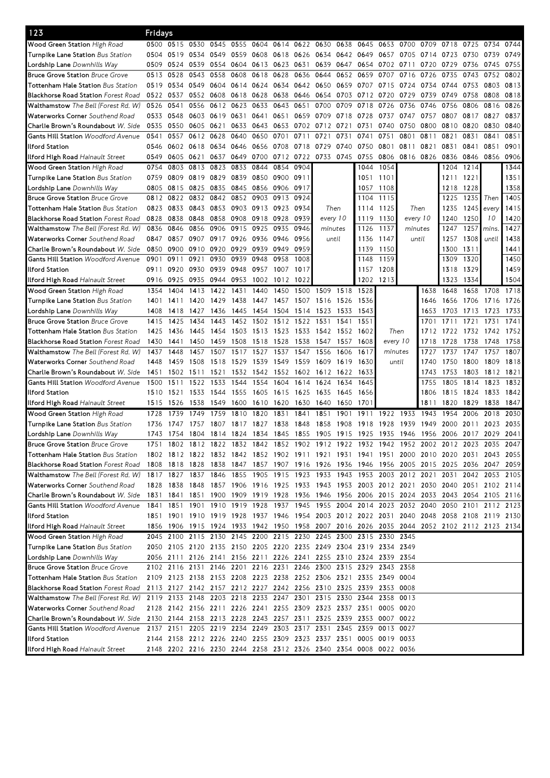| 123                                        | Fridays |           |                     |                          |      |                |      |           |                                                                                                                                      |      |      |         |           |      |                                                                                           |           |                     |      |
|--------------------------------------------|---------|-----------|---------------------|--------------------------|------|----------------|------|-----------|--------------------------------------------------------------------------------------------------------------------------------------|------|------|---------|-----------|------|-------------------------------------------------------------------------------------------|-----------|---------------------|------|
| <b>Wood Green Station</b> High Road        | 0500    | 0515      | 0530                | 0545                     | 0555 | 0604           | 0614 | 0622      | 0630                                                                                                                                 | 0638 | 0645 | 0653    | 0700      | 0709 | 0718                                                                                      | 0725      | 0734                | 0744 |
| <b>Turnpike Lane Station</b> Bus Station   | 0504    | 0519      | 0534 0549           |                          | 0559 | 0608           | 0618 | 0626      | 0634                                                                                                                                 | 0642 | 0649 | 0657    | 0705      | 0714 | 0723                                                                                      | 0730      | 0739                | 0749 |
| <b>Lordship Lane</b> Downhills Way         | 0509    | 0524      | 0539                | 0554                     | 0604 | 0613           | 0623 | 0631      | 0639                                                                                                                                 | 0647 | 0654 | 0702    | 0711      | 0720 | 0729                                                                                      | 0736      | 0745                | 0755 |
| <b>Bruce Grove Station Bruce Grove</b>     | 0513    | 0528      | 0543                | 0558                     | 0608 | 0618           | 0628 | 0636      | 0644                                                                                                                                 | 0652 | 0659 | 0707    | 0716      | 0726 | 0735                                                                                      | 0743      | 0752                | 0802 |
| <b>Tottenham Hale Station Bus Station</b>  | 0519    | 0534      | 0549 0604           |                          |      | 0614 0624      | 0634 | 0642 0650 |                                                                                                                                      | 0659 | 0707 | 0715    | 0724      | 0734 | 0744                                                                                      | 0753      | 0803                | 0813 |
| <b>Blackhorse Road Station</b> Forest Road | 0522    | 0537      | 0552 0608           |                          | 0618 | 0628           | 0638 | 0646      | 0654                                                                                                                                 | 0703 | 0712 | 0720    | 0729      | 0739 | 0749                                                                                      | 0758      | 0808                | 0818 |
| <b>Walthamstow</b> The Bell (Forest Rd. W) | 0526    | 0541      |                     | 0556 0612                | 0623 | 0633           | 0643 | 0651      | 0700                                                                                                                                 | 0709 | 0718 | 0726    | 0736      | 0746 | 0756                                                                                      | 0806      | 0816                | 0826 |
| Waterworks Corner Southend Road            | 0533    | 0548      | 0603 0619           |                          | 0631 | 0641           | 0651 | 0659      | 0709                                                                                                                                 | 0718 | 0728 | 0737    | 0747      | 0757 | 0807                                                                                      | 0817      | 0827                | 0837 |
| Charlie Brown's Roundabout W. Side         | 0535    | 0550      | 0605 0621           |                          | 0633 | 0643           | 0653 | 0702      | 0712                                                                                                                                 | 0721 | 0731 | 0740    | 0750      | 0800 | 0810                                                                                      | 0820      | 0830                | 0840 |
| <b>Gants Hill Station</b> Woodford Avenue  | 0541    | 0557      | 0612                | 0628                     | 0640 | 0650           | 0701 | 0711      | 0721                                                                                                                                 | 0731 | 0741 | 0751    | 0801      | 0811 | 0821                                                                                      | 0831      | 0841                | 0851 |
| llford Station                             | 0546    |           | 0602 0618 0634      |                          | 0646 | 0656           | 0708 | 0718 0729 |                                                                                                                                      | 0740 | 0750 | 0801    | 0811      | 0821 | 0831                                                                                      | 0841      | 0851                | 0901 |
| <b>Ilford High Road</b> Hainault Street    | 0549    | 0605      | 0621                | 0637                     | 0649 |                |      |           | 0700 0712 0722 0733 0745                                                                                                             |      | 0755 | 0806    | 0816 0826 |      | 0836                                                                                      | 0846      | 0856                | 0906 |
| Wood Green Station High Road               | 0754    | 0803      | 0813                | 0823                     | 0833 | 0844           | 0854 | 0904      |                                                                                                                                      |      | 1044 | 1054    |           |      | 1204                                                                                      | 1214      |                     | 1344 |
| Turnpike Lane Station Bus Station          | 0759    | 0809      | 0819 0829           |                          | 0839 | 0850           | 0900 | 0911      |                                                                                                                                      |      | 1051 | 1101    |           |      | 1211                                                                                      | 1221      |                     | 1351 |
| Lordship Lane Downhills Way                | 0805    | 0815      | 0825                | 0835                     | 0845 | 0856 0906      |      | 0917      |                                                                                                                                      |      | 1057 | 1108    |           |      | 1218                                                                                      | 1228      |                     | 1358 |
| <b>Bruce Grove Station Bruce Grove</b>     | 0812    | 0822      |                     | 0832 0842                | 0852 | 0903           | 0913 | 0924      |                                                                                                                                      |      | 1104 | 1115    |           |      | 1225                                                                                      | 1235      | Then                | 1405 |
| <b>Tottenham Hale Station</b> Bus Station  | 0823    | 0833      | 0843 0853           |                          |      | 0903 0913 0923 |      | 0934      | Then                                                                                                                                 |      | 1114 | 1125    | Then      |      | 1235                                                                                      | 1245      | every               | 1415 |
| <b>Blackhorse Road Station</b> Forest Road | 0828    | 0838      | 0848                | 0858                     |      | 0908 0918 0928 |      | 0939      | every 10                                                                                                                             |      | 1119 | 1130    | every 10  |      | 1240                                                                                      | 1250      | 10                  | 1420 |
| <b>Walthamstow</b> The Bell (Forest Rd. W) | 0836    | 0846      | 0856                | 0906                     | 0915 | 0925           | 0935 | 0946      | minutes                                                                                                                              |      | 1126 | 1137    | minutes   |      | 1247                                                                                      | 1257      | mins.               | 1427 |
| <b>Waterworks Corner</b> Southend Road     | 0847    | 0857      | 0907                | 0917                     | 0926 | 0936           | 0946 | 0956      | until                                                                                                                                |      | 1136 | 1147    | until     |      | 1257                                                                                      | 1308      | until               | 1438 |
| Charlie Brown's Roundabout <i>W. Side</i>  | 0850    | 0900      | 0910 0920           |                          | 0929 | 0939           | 0949 | 0959      |                                                                                                                                      |      | 1139 | 1150    |           |      | 1300                                                                                      | 1311      |                     | 1441 |
| Gants Hill Station Woodford Avenue         | 0901    | 0911      | 0921                | 0930                     | 0939 | 0948           | 0958 | 1008      |                                                                                                                                      |      | 1148 | 1159    |           |      | 1309                                                                                      | 1320      |                     | 1450 |
| llford Station                             | 0911    | 0920      | 0930                | 0939                     | 0948 | 0957           | 1007 | 1017      |                                                                                                                                      |      | 1157 | 1208    |           |      | 1318                                                                                      | 1329      |                     | 1459 |
| <b>Ilford High Road</b> Hainault Street    | 0916    | 0925      |                     | 0935 0944                | 0953 | 1002           | 1012 | 1022      |                                                                                                                                      |      | 1202 | 1213    |           |      | 1323                                                                                      | 1334      |                     | 1504 |
| Wood Green Station High Road               | 1354    | 1404      | 1413                | 1422                     | 1431 | 1440           | 1450 | 1500      | 1509                                                                                                                                 | 1518 | 1528 |         |           | 1638 | 1648                                                                                      | 1658      | 1708                | 1718 |
| Turnpike Lane Station Bus Station          | 1401    | 1411      | 1420                | 1429                     | 1438 | 1447           | 1457 |           | 1507 1516                                                                                                                            | 1526 | 1536 |         |           | 1646 | 1656                                                                                      | 1706      | 1716                | 1726 |
| Lordship Lane Downhills Way                | 1408    | 1418      | 1427                | 1436                     | 1445 | 1454           | 1504 | 1514      | 1523                                                                                                                                 | 1533 | 1543 |         |           | 1653 | 1703                                                                                      | 1713      | 1723                | 1733 |
| <b>Bruce Grove Station Bruce Grove</b>     | 1415    | 1425      | 1434                | 1443                     | 1452 | 1502           | 1512 | 1522      | 1531                                                                                                                                 | 1541 | 1551 |         |           | 1701 | 1711                                                                                      | 1721      | 1731                | 1741 |
| <b>Tottenham Hale Station</b> Bus Station  | 1425    | 1436      | 1445                | 1454                     | 1503 | 1513           | 1523 | 1533 1542 |                                                                                                                                      | 1552 | 1602 | Then    |           | 1712 | 1722                                                                                      | 1732 1742 |                     | 1752 |
| <b>Blackhorse Road Station Forest Road</b> | 1430    | 1441      | 1450                | 1459                     | 1508 | 1518           | 1528 | 1538      | 1547                                                                                                                                 | 1557 | 1608 |         | every 10  | 1718 | 1728                                                                                      | 1738      | 1748                | 1758 |
| <b>Walthamstow</b> The Bell (Forest Rd. W) | 1437    | 1448      | 1457                | 1507                     | 1517 | 1527           | 1537 | 1547      | 1556                                                                                                                                 | 1606 | 1617 | minutes |           | 1727 | 1737                                                                                      | 1747      | 1757                | 1807 |
| <b>Waterworks Corner</b> Southend Road     | 1448    | 1459      | 1508                | 1518                     | 1529 | 1539           | 1549 | 1559 1609 |                                                                                                                                      | 1619 | 1630 | until   |           | 1740 | 1750                                                                                      | 1800      | 1809                | 1818 |
| Charlie Brown's Roundabout <i>W. Side</i>  | 1451    | 1502      | 1511                | 1521                     | 1532 | 1542           | 1552 | 1602      | 1612                                                                                                                                 | 1622 | 1633 |         |           | 1743 | 1753                                                                                      | 1803      | 1812                | 1821 |
| <b>Gants Hill Station</b> Woodford Avenue  | 1500    | 1511      | 1522                | 1533                     | 1544 | 1554           | 1604 | 1614      | 1624                                                                                                                                 | 1634 | 1645 |         |           | 1755 | 1805                                                                                      | 1814      | 1823                | 1832 |
| llford Station                             | 1510    | 1521      | 1533                | 1544                     | 1555 | 1605           | 1615 | 1625      | 1635                                                                                                                                 | 1645 | 1656 |         |           | 1806 | 1815                                                                                      | 1824      | 1833                | 1842 |
| <b>Ilford High Road</b> Hainault Street    | 1515    | 1526      | 1538                | 1549                     | 1600 | 1610           | 1620 | 1630      | 1640                                                                                                                                 | 1650 | 1701 |         |           | 1811 | 1820                                                                                      | 1829      | 1838                | 1847 |
| Wood Green Station High Road               | 1728    | 1739      | 1749                | 1759                     | 1810 | 1820           | 1831 | 1841      | 1851                                                                                                                                 | 1901 | 1911 | 1922    | 1933      | 1943 | 1954                                                                                      | 2006      | 2018                | 2030 |
| Turnpike Lane Station Bus Station          | 1736    | 1747      | 1757                | 1807                     | 1817 | 1827           | 1838 | 1848      | 1858                                                                                                                                 | 1908 | 1918 | 1928    | 1939      | 1949 | 2000                                                                                      | 2011      | 2023                | 2035 |
| Lordship Lane Downhills Way                |         | 1743 1754 |                     | 1804 1814 1824 1834 1845 |      |                |      |           |                                                                                                                                      |      |      |         |           |      | 1855 1905 1915 1925 1935 1946 1956 2006 2017 2029 2041                                    |           |                     |      |
| <b>Bruce Grove Station Bruce Grove</b>     | 1751    |           |                     |                          |      |                |      |           |                                                                                                                                      |      |      |         |           |      | 1802 1812 1822 1832 1842 1852 1902 1912 1922 1932 1942 1952 2002 2012 2023 2035 2047      |           |                     |      |
| <b>Tottenham Hale Station</b> Bus Station  |         |           |                     |                          |      |                |      |           |                                                                                                                                      |      |      |         |           |      | 1802 1812 1822 1832 1842 1852 1902 1911 1921 1931 1941 1951 2000 2010 2020 2031 2043 2055 |           |                     |      |
| <b>Blackhorse Road Station Forest Road</b> |         |           |                     |                          |      |                |      |           |                                                                                                                                      |      |      |         |           |      | 1808 1818 1828 1838 1847 1857 1907 1916 1926 1936 1946 1956 2005 2015 2025 2036 2047 2059 |           |                     |      |
| Walthamstow The Bell (Forest Rd. W)        |         |           | 1817 1827 1837 1846 |                          |      |                |      |           | 1855 1905 1915 1923 1933 1943 1953 2003 2012 2021                                                                                    |      |      |         |           |      |                                                                                           |           | 2031 2042 2053 2105 |      |
| Waterworks Corner Southend Road            |         |           |                     |                          |      |                |      |           |                                                                                                                                      |      |      |         |           |      | 1828 1838 1848 1857 1906 1916 1925 1933 1943 1953 2003 2012 2021 2030 2040 2051 2102 2114 |           |                     |      |
| Charlie Brown's Roundabout W. Side         |         |           |                     |                          |      |                |      |           |                                                                                                                                      |      |      |         |           |      | 1831 1841 1851 1900 1909 1919 1928 1936 1946 1956 2006 2015 2024 2033 2043 2054 2105 2116 |           |                     |      |
| <b>Gants Hill Station</b> Woodford Avenue  |         |           |                     |                          |      |                |      |           |                                                                                                                                      |      |      |         |           |      | 1841 1851 1901 1910 1919 1928 1937 1945 1955 2004 2014 2023 2032 2040 2050 2101 2112 2123 |           |                     |      |
| llford Station                             |         |           |                     |                          |      |                |      |           |                                                                                                                                      |      |      |         |           |      | 1851 1901 1910 1919 1928 1937 1946 1954 2003 2012 2022 2031 2040 2048 2058 2108 2119 2130 |           |                     |      |
| Ilford High Road Hainault Street           |         |           |                     |                          |      |                |      |           |                                                                                                                                      |      |      |         |           |      | 1856 1906 1915 1924 1933 1942 1950 1958 2007 2016 2026 2035 2044 2052 2102 2112 2123 2134 |           |                     |      |
| Wood Green Station High Road               |         |           |                     |                          |      |                |      |           | 2045 2100 2115 2130 2145 2200 2215 2230 2245 2300 2315 2330 2345                                                                     |      |      |         |           |      |                                                                                           |           |                     |      |
| Turnpike Lane Station Bus Station          |         |           |                     |                          |      |                |      |           | 2050 2105 2120 2135 2150 2205 2220 2235 2249 2304 2319 2334 2349                                                                     |      |      |         |           |      |                                                                                           |           |                     |      |
|                                            |         |           |                     |                          |      |                |      |           |                                                                                                                                      |      |      |         |           |      |                                                                                           |           |                     |      |
| Lordship Lane Downhills Way                |         |           |                     |                          |      |                |      |           | 2056 2111 2126 2141 2156 2211 2226 2241 2255 2310 2324 2339 2354<br>2102 2116 2131 2146 2201 2216 2231 2246 2300 2315 2329 2343 2358 |      |      |         |           |      |                                                                                           |           |                     |      |
| <b>Bruce Grove Station Bruce Grove</b>     |         |           |                     |                          |      |                |      |           |                                                                                                                                      |      |      |         |           |      |                                                                                           |           |                     |      |
| Tottenham Hale Station Bus Station         |         |           |                     |                          |      |                |      |           | 2109 2123 2138 2153 2208 2223 2238 2252 2306 2321 2335 2349 0004                                                                     |      |      |         |           |      |                                                                                           |           |                     |      |
| <b>Blackhorse Road Station Forest Road</b> |         |           |                     |                          |      |                |      |           | 2113 2127 2142 2157 2212 2227 2242 2256 2310 2325 2339 2353 0008                                                                     |      |      |         |           |      |                                                                                           |           |                     |      |
| Walthamstow The Bell (Forest Rd. W)        |         |           |                     |                          |      |                |      |           | 2119 2133 2148 2203 2218 2233 2247 2301 2315 2330 2344 2358 0013                                                                     |      |      |         |           |      |                                                                                           |           |                     |      |
| Waterworks Corner Southend Road            |         |           |                     |                          |      |                |      |           | 2128 2142 2156 2211 2226 2241 2255 2309 2323 2337 2351 0005 0020                                                                     |      |      |         |           |      |                                                                                           |           |                     |      |
| Charlie Brown's Roundabout W. Side         |         |           |                     |                          |      |                |      |           | 2130 2144 2158 2213 2228 2243 2257 2311 2325 2339 2353 0007 0022                                                                     |      |      |         |           |      |                                                                                           |           |                     |      |
| Gants Hill Station Woodford Avenue         |         |           |                     |                          |      |                |      |           | 2137 2151 2205 2219 2234 2249 2303 2317 2331 2345 2359 0013 0027                                                                     |      |      |         |           |      |                                                                                           |           |                     |      |
| llford Station                             |         |           |                     |                          |      |                |      |           | 2144 2158 2212 2226 2240 2255 2309 2323 2337 2351 0005 0019 0033                                                                     |      |      |         |           |      |                                                                                           |           |                     |      |
| <b>Ilford High Road</b> Hainault Street    |         |           |                     |                          |      |                |      |           | 2148 2202 2216 2230 2244 2258 2312 2326 2340 2354 0008 0022 0036                                                                     |      |      |         |           |      |                                                                                           |           |                     |      |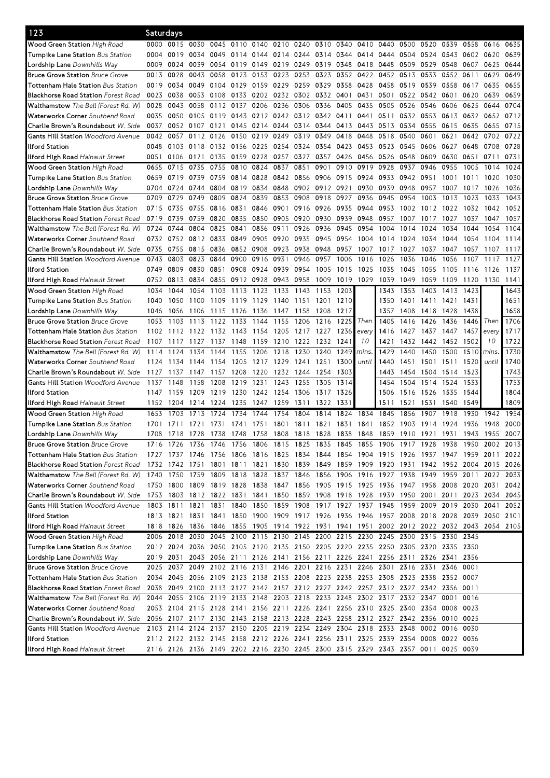| 123                                        | Saturdays                                                                                 |                     |              |              |      |                |                     |                |                |      |           |                                                                                           |           |           |              |           |           |           |
|--------------------------------------------|-------------------------------------------------------------------------------------------|---------------------|--------------|--------------|------|----------------|---------------------|----------------|----------------|------|-----------|-------------------------------------------------------------------------------------------|-----------|-----------|--------------|-----------|-----------|-----------|
| <b>Wood Green Station</b> High Road        |                                                                                           | 0000 0015 0030      |              | 0045         | 0110 | 0140           | 0210 0240           |                | 0310 0340      |      | 0410      | 0440                                                                                      | 0500      | 0520      | 0539         | 0558      | 0616      | 0635      |
| <b>Turnpike Lane Station</b> Bus Station   | 0004                                                                                      | 0019                |              | 0034 0049    |      | 0114 0144      | 0214                |                | 0244 0314 0344 |      | 0414      | 0444                                                                                      | 0504      |           | 0524 0543    | 0602      | 0620      | 0639      |
| Lordship Lane Downhills Way                | 0009                                                                                      | 0024                | 0039         | 0054         | 0119 | 0149           | 0219                | 0249           | 0319 0348      |      | 0418      | 0448                                                                                      | 0509      | 0529      | 0548         | 0607      | 0625      | 0644      |
| <b>Bruce Grove Station Bruce Grove</b>     | 0013                                                                                      | 0028                | 0043         | 0058         | 0123 | 0153           | 0223                | 0253           | 0323           | 0352 | 0422      | 0452                                                                                      | 0513      | 0533      | 0552         | 0611      | 0629      | 0649      |
| <b>Tottenham Hale Station</b> Bus Station  | 0019                                                                                      | 0034                | 0049         | 0104         | 0129 | 0159           | 0229                | 0259           | 0329           | 0358 | 0428      | 0458                                                                                      | 0519      | 0539      | 0558         | 0617      | 0635      | 0655      |
| <b>Blackhorse Road Station Forest Road</b> | 0023                                                                                      | 0038                |              | 0053 0108    | 0133 | 0202           | 0232                | 0302           | 0332           | 0401 | 0431      | 0501                                                                                      | 0522      | 0542      | 0601         | 0620      | 0639      | 0659      |
| Walthamstow The Bell (Forest Rd. W)        | 0028                                                                                      | 0043                | 0058         | 0112         | 0137 | 0206           | 0236                | 0306           | 0336           | 0405 | 0435      | 0505                                                                                      | 0526      | 0546      | 0606         | 0625      | 0644      | 0704      |
| Waterworks Corner Southend Road            | 0035                                                                                      | 0050                | 0105         | 0119         | 0143 | 0212           | 0242                |                | 0312 0342      | 0411 | 0441      | 0511                                                                                      | 0532      | 0553      | 0613         | 0632      | 0652      | 0712      |
| <b>Charlie Brown's Roundabout</b> W. Side  | 0037                                                                                      | 0052                | 0107         | 0121         | 0145 | 0214           | 0244                | 0314           | 0344           | 0413 | 0443      | 0513                                                                                      | 0534      | 0555      | 0615         | 0635      | 0655      | 0715      |
| <b>Gants Hill Station</b> Woodford Avenue  | 0042                                                                                      | 0057                |              | 0112 0126    | 0150 |                | 0219 0249           | 0319           | 0349           | 0418 | 0448      | 0518                                                                                      | 0540      | 0601      | 0621         | 0642      | 0702      | 0722      |
|                                            |                                                                                           |                     |              |              |      |                |                     |                |                |      |           |                                                                                           |           |           |              |           |           |           |
| llford Station                             | 0048                                                                                      | 0103                | 0118 0132    |              |      | 0156 0225 0254 |                     | 0324           | 0354           | 0423 | 0453      | 0523                                                                                      | 0545      | 0606      | 0627         | 0648      | 0708      | 0728      |
| <b>Ilford High Road</b> Hainault Street    | 0051                                                                                      | 0106                | 0121         | 0135         |      |                | 0159 0228 0257 0327 |                | 0357           | 0426 | 0456      | 0526                                                                                      | 0548      | 0609      | 0630         | 0651      | 0711      | 0731      |
| Wood Green Station High Road               | 0655                                                                                      | 0715                | 0735         | 0755         | 0810 | 0824           | 0837                | 0851           | 0901           | 0910 | 0919      | 0928                                                                                      | 0937      | 0946      | 0955         | 1005      | 1014      | 1024      |
| Turnpike Lane Station Bus Station          | 0659                                                                                      | 0719                | 0739         | 0759         |      | 0814 0828      | 0842                | 0856 0906      |                | 0915 | 0924      | 0933                                                                                      | 0942 0951 |           | 1001         | 1011      | 1020      | 1030      |
| <b>Lordship Lane</b> Downhills Way         | 0704                                                                                      | 0724                | 0744         | 0804         | 0819 | 0834           | 0848                |                | 0902 0912      | 0921 | 0930      | 0939                                                                                      | 0948      | 0957      | 1007         | 1017      | 1026      | 1036      |
| <b>Bruce Grove Station Bruce Grove</b>     | 0709                                                                                      | 0729                | 0749         | 0809         | 0824 | 0839           | 0853                | 0908           | 0918           | 0927 | 0936      | 0945                                                                                      | 0954      | 1003      | 1013         | 1023      | 1033      | 1043      |
| <b>Tottenham Hale Station</b> Bus Station  | 0715                                                                                      | 0735                | 0755 0816    |              | 0831 | 0846           | 0901                | 0916 0926      |                | 0935 | 0944 0953 |                                                                                           | 1002      |           | 1012 1022    | 1032      | 1042      | 1052      |
| <b>Blackhorse Road Station</b> Forest Road | 0719                                                                                      | 0739                |              | 0759 0820    | 0835 | 0850           | 0905                | 0920           | 0930           | 0939 | 0948      | 0957                                                                                      | 1007      | 1017      | 1027         | 1037      | 1047      | 1057      |
| Walthamstow The Bell (Forest Rd. W)        | 0724                                                                                      | 0744                | 0804         | 0825         | 0841 | 0856           | 0911                | 0926           | 0936           | 0945 | 0954      | 1004                                                                                      | 1014      | 1024      | 1034         | 1044      | 1054      | 1104      |
| Waterworks Corner Southend Road            | 0732                                                                                      | 0752                | 0812 0833    |              | 0849 | 0905           | 0920                | 0935           | 0945           | 0954 | 1004      | 1014                                                                                      | 1024      | 1034      | 1044         | 1054      | 1104      | 1114      |
| Charlie Brown's Roundabout <i>W. Side</i>  | 0735                                                                                      | 0755                | 0815         | 0836         |      | 0852 0908      | 0923                | 0938           | 0948           | 0957 | 1007      | 1017                                                                                      | 1027      | 1037      | 1047         | 1057      | 1107      | 1117      |
| <b>Gants Hill Station Woodford Avenue</b>  | 0743                                                                                      | 0803                | 0823         | 0844         | 0900 | 0916           | 0931                | 0946           | 0957           | 1006 | 1016      | 1026                                                                                      | 1036      | 1046      | 1056         | 1107      | 1117      | 1127      |
| llford Station                             | 0749                                                                                      | 0809                | 0830 0851    |              | 0908 | 0924           | 0939                | 0954           | 1005           | 1015 | 1025      | 1035                                                                                      | 1045      | 1055      | 1105         | 1116      | 1126      | 1137      |
| <b>Ilford High Road</b> Hainault Street    | 0752                                                                                      | 0813                | 0834         | 0855         |      | 0912 0928      | 0943                | 0958           | 1009           |      | 1019 1029 | 1039                                                                                      | 1049      | 1059      | 1109         | 1120 1130 |           | 1141      |
| Wood Green Station High Road               | 1034                                                                                      | 1044                | 1054         | 1103         | 1113 | 1123           | 1133                | 1143           | 1153           | 1203 |           | 1343                                                                                      | 1353      | 1403      | 1413         | 1423      |           | 1643      |
| Turnpike Lane Station Bus Station          | 1040                                                                                      | 1050                | 1100         | 1109         | 1119 | 1129           | 1140                | 1151 1201      |                | 1210 |           | 1350                                                                                      | 1401      | 1411 1421 |              | 1431      |           | 1651      |
| Lordship Lane Downhills Way                | 1046                                                                                      | 1056                | 1106         | 1115         | 1126 | 1136           | 1147                | 1158           | 1208           | 1217 |           | 1357                                                                                      | 1408      | 1418 1428 |              | 1438      |           | 1658      |
| <b>Bruce Grove Station Bruce Grove</b>     | 1053                                                                                      | 1103                | 1113         | 1122         | 1133 | 1144           | 1155                | 1206           | 1216           | 1225 | Then      | 1405                                                                                      | 1416      | 1426      | 1436         | 1446      | Then      | 1706      |
| <b>Tottenham Hale Station</b> Bus Station  | 1102                                                                                      | 1112                | 1122         | 1132         | 1143 | 1154           | 1205                | 1217           | 1227           | 1236 | every     | 1416                                                                                      | 1427      | 1437      | 1447         | 1457      | every     | 1717      |
| <b>Blackhorse Road Station Forest Road</b> | 1107                                                                                      | 1117                | 1127         | 1137         | 1148 | 1159           | 1210                | 1222           | 1232           | 1241 | 10        | 1421                                                                                      | 1432      | 1442      | 1452         | 1502      | 10        | 1722      |
| <b>Walthamstow</b> The Bell (Forest Rd. W) | 1114                                                                                      | 1124                | 1134         | 1144         | 1155 | 1206           | 1218                | 1230           | 1240           | 1249 | mins.     | 1429                                                                                      | 1440      | 1450      | 1500         | 1510      | mins.     | 1730      |
| Waterworks Corner Southend Road            | 1124                                                                                      | 1134                | 1144         | 1154         | 1205 | 1217           | 1229                | 1241 1251      |                | 1300 | until     | 1440                                                                                      | 1451      | 1501 1511 |              | 1520      | until     | 1740      |
|                                            | 1127                                                                                      |                     |              |              | 1208 | 1220           | 1232                | 1244           | 1254           | 1303 |           | 1443                                                                                      | 1454      |           |              | 1523      |           | 1743      |
| Charlie Brown's Roundabout W. Side         | 1137                                                                                      | 1137                | 1147<br>1158 | 1157<br>1208 | 1219 | 1231           | 1243                | 1255           | 1305           | 1314 |           | 1454                                                                                      | 1504      | 1504      | 1514<br>1524 | 1533      |           | 1753      |
| Gants Hill Station Woodford Avenue         |                                                                                           | 1148                |              |              |      |                |                     |                |                |      |           |                                                                                           |           | 1514      |              |           |           |           |
| llford Station                             | 1147                                                                                      | 1159                | 1209         | 1219         | 1230 | 1242           | 1254                | 1306 1317      |                | 1326 |           | 1506                                                                                      | 1516 1526 |           | 1535         | 1544      |           | 1804      |
| <b>Ilford High Road</b> Hainault Street    | 1152                                                                                      | 1204                | 1214         | 1224         | 1235 | 1247           | 1259                | 1311           | 1322           | 1331 |           | 1511                                                                                      | 1521      | 1531      | 1540         | 1549      |           | 1809      |
| Wood Green Station High Road               | 1653                                                                                      | 1703                | 1713         | 1724         | 1734 | 1744           | 1754                | 1804           | 1814           | 1824 | 1834      | 1845                                                                                      | 1856      | 1907      | 1918         | 1930      | 1942      | 1954      |
| <b>Turnpike Lane Station</b> Bus Station   | 1701                                                                                      | 1711                | 1721         | 1731         | 1741 | 1751           | 1801                | 1811           | 1821           | 1831 | 1841      | 1852                                                                                      | 1903      | 1914      | 1924         | 1936      | 1948      | 2000      |
| <b>Lordship Lane</b> Downhills Way         | 1708                                                                                      | 1718 1728 1738      |              |              |      | 1748 1758 1808 |                     | 1818 1828 1838 |                |      |           | 1848 1859 1910 1921 1931 1943 1955 2007                                                   |           |           |              |           |           |           |
| <b>Bruce Grove Station Bruce Grove</b>     | 1716                                                                                      | $\frac{1}{17}$      | 1736         | 1746         | 1756 | 1806 1815      |                     | 1825 1835      |                | 1845 | 1855      | 1906                                                                                      | 1917      | 1928      | 1938         | 1950      | 2002 2013 |           |
| <b>Tottenham Hale Station</b> Bus Station  |                                                                                           |                     |              |              |      |                |                     |                |                |      |           | 1727 1737 1746 1756 1806 1816 1825 1834 1844 1854 1904 1915 1926 1937 1947 1959 2011 2022 |           |           |              |           |           |           |
| <b>Blackhorse Road Station Forest Road</b> |                                                                                           |                     |              |              |      |                |                     |                |                |      |           | 1732 1742 1751 1801 1811 1821 1830 1839 1849 1859 1909 1920 1931 1942 1952 2004 2015 2026 |           |           |              |           |           |           |
| Walthamstow The Bell (Forest Rd. W)        |                                                                                           | 1740 1750 1759 1809 |              |              |      |                | 1818 1828 1837      |                |                |      |           | 1846 1856 1906 1916 1927 1938                                                             |           | 1949      | 1959 2011    |           |           | 2022 2033 |
| Waterworks Corner Southend Road            |                                                                                           |                     |              |              |      |                |                     |                |                |      |           | 1750 1800 1809 1819 1828 1838 1847 1856 1905 1915 1925 1936 1947 1958 2008 2020 2031 2042 |           |           |              |           |           |           |
| Charlie Brown's Roundabout W. Side         | 1753 1803 1812 1822 1831 1841 1850 1859 1908 1918 1928 1939 1950 2001 2011 2023 2034 2045 |                     |              |              |      |                |                     |                |                |      |           |                                                                                           |           |           |              |           |           |           |
| <b>Gants Hill Station Woodford Avenue</b>  |                                                                                           |                     |              |              |      |                |                     |                |                |      |           | 1803 1811 1821 1831 1840 1850 1859 1908 1917 1927 1937 1948 1959 2009 2019 2030 2041      |           |           |              |           |           | 2052      |
| llford Station                             |                                                                                           |                     |              |              |      |                |                     |                |                |      |           | 1813 1821 1831 1841 1850 1900 1909 1917 1926 1936 1946 1957 2008 2018 2028 2039 2050 2101 |           |           |              |           |           |           |
| <b>Ilford High Road</b> Hainault Street    |                                                                                           |                     |              |              |      |                |                     |                |                |      |           | 1818 1826 1836 1846 1855 1905 1914 1922 1931 1941 1951 2002 2012 2022 2032 2043 2054 2105 |           |           |              |           |           |           |
| Wood Green Station High Road               |                                                                                           |                     |              |              |      |                |                     |                |                |      |           | 2006 2018 2030 2045 2100 2115 2130 2145 2200 2215 2230 2245 2300 2315 2330 2345           |           |           |              |           |           |           |
| Turnpike Lane Station Bus Station          |                                                                                           |                     |              |              |      |                |                     |                |                |      |           | 2012 2024 2036 2050 2105 2120 2135 2150 2205 2220 2235 2250 2305 2320 2335 2350           |           |           |              |           |           |           |
| Lordship Lane Downhills Way                |                                                                                           | 2019 2031           |              |              |      |                |                     |                |                |      |           | 2043 2056 2111 2126 2141 2156 2211 2226 2241 2256 2311 2326 2341 2356                     |           |           |              |           |           |           |
| <b>Bruce Grove Station Bruce Grove</b>     |                                                                                           |                     |              |              |      |                |                     |                |                |      |           | 2025 2037 2049 2102 2116 2131 2146 2201 2216 2231 2246 2301 2316 2331 2346 0001           |           |           |              |           |           |           |
| <b>Tottenham Hale Station</b> Bus Station  |                                                                                           |                     |              |              |      |                |                     |                |                |      |           | 2034 2045 2056 2109 2123 2138 2153 2208 2223 2238 2253 2308 2323 2338 2352 0007           |           |           |              |           |           |           |
| <b>Blackhorse Road Station Forest Road</b> |                                                                                           |                     |              |              |      |                |                     |                |                |      |           | 2038 2049 2100 2113 2127 2142 2157 2212 2227 2242 2257 2312 2327 2342 2356 0011           |           |           |              |           |           |           |
| Walthamstow The Bell (Forest Rd. W)        |                                                                                           |                     |              |              |      |                |                     |                |                |      |           | 2044 2055 2106 2119 2133 2148 2203 2218 2233 2248 2302 2317 2332 2347 0001 0016           |           |           |              |           |           |           |
| <b>Waterworks Corner</b> Southend Road     |                                                                                           |                     |              |              |      |                |                     |                |                |      |           | 2053 2104 2115 2128 2141 2156 2211 2226 2241 2256 2310 2325 2340 2354 0008 0023           |           |           |              |           |           |           |
| Charlie Brown's Roundabout <i>W. Side</i>  |                                                                                           |                     |              |              |      |                |                     |                |                |      |           | 2056 2107 2117 2130 2143 2158 2213 2228 2243 2258 2312 2327 2342 2356 0010 0025           |           |           |              |           |           |           |
|                                            |                                                                                           |                     |              |              |      |                |                     |                |                |      |           |                                                                                           |           |           |              |           |           |           |
| <b>Gants Hill Station</b> Woodford Avenue  |                                                                                           |                     |              |              |      |                |                     |                |                |      |           | 2103 2114 2124 2137 2150 2205 2219 2234 2249 2304 2318 2333 2348 0002 0016 0030           |           |           |              |           |           |           |
| llford Station                             |                                                                                           |                     |              |              |      |                |                     |                |                |      |           | 2112 2122 2132 2145 2158 2212 2226 2241 2256 2311 2325 2339 2354 0008 0022 0036           |           |           |              |           |           |           |
| <b>Ilford High Road Hainault Street</b>    |                                                                                           |                     |              |              |      |                |                     |                |                |      |           | 2116 2126 2136 2149 2202 2216 2230 2245 2300 2315 2329 2343 2357 0011 0025 0039           |           |           |              |           |           |           |